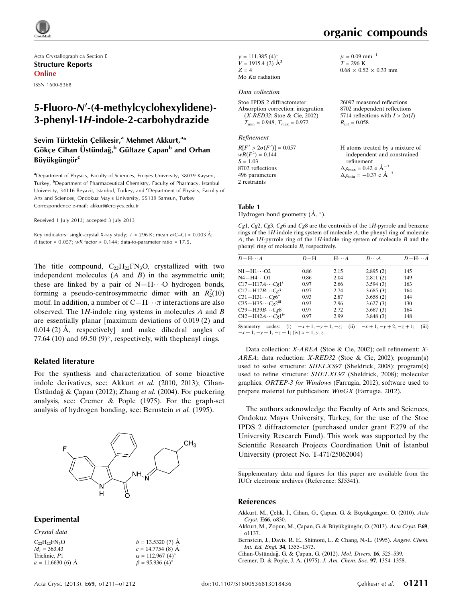

Acta Crystallographica Section E Structure Reports Online

ISSN 1600-5368

# 5-Fluoro-N'-(4-methylcyclohexylidene)-3-phenyl-1H-indole-2-carbohydrazide

## Sevim Türktekin Çelikesir,<sup>a</sup> Mehmet Akkurt,<sup>a</sup>\* Gökçe Cihan Üstündağ,<sup>b</sup> Gültaze Çapan<sup>b</sup> and Orhan Büyükgüngör<sup>c</sup>

<sup>a</sup>Department of Physics, Faculty of Sciences, Erciyes University, 38039 Kayseri, Turkey, <sup>b</sup>Department of Pharmaceutical Chemistry, Faculty of Pharmacy, Istanbul University, 34116 Beyazit, Istanbul, Turkey, and <sup>c</sup>Department of Physics, Faculty of Arts and Sciences, Ondokuz Mayıs University, 55139 Samsun, Turkey Correspondence e-mail: [akkurt@erciyes.edu.tr](https://scripts.iucr.org/cgi-bin/cr.cgi?rm=pdfbb&cnor=sj5341&bbid=BB9)

Received 1 July 2013; accepted 3 July 2013

Key indicators: single-crystal X-ray study;  $T = 296$  K; mean  $\sigma$ (C–C) = 0.003 Å;  $R$  factor = 0.057;  $wR$  factor = 0.144; data-to-parameter ratio = 17.5.

The title compound,  $C_{22}H_{22}FN_3O$ , crystallized with two independent molecules  $(A \text{ and } B)$  in the asymmetric unit; these are linked by a pair of  $N-H\cdots O$  hydrogen bonds, forming a pseudo-centrosymmetric dimer with an  $R_2^2(10)$ motif. In addition, a number of  $C-H\cdots \pi$  interactions are also observed. The 1H-indole ring systems in molecules  $A$  and  $B$ are essentially planar [maximum deviations of 0.019 (2) and  $0.014$  (2) Å, respectively and make dihedral angles of 77.64 (10) and 69.50 (9) $^{\circ}$ , respectively, with the phenyl rings.

#### Related literature

For the synthesis and characterization of some bioactive indole derivatives, see: Akkurt et al. (2010, 2013); Cihan-Ustündağ & Capan (2012); Zhang et al. (2004). For puckering analysis, see: Cremer & Pople (1975). For the graph-set analysis of hydrogen bonding, see: Bernstein et al. (1995).



#### Experimental

| Crystal data          |                         |
|-----------------------|-------------------------|
| $C_{22}H_{22}FN_{3}O$ | $b = 13.5320(7)$ Å      |
| $M_r = 363.43$        | $c = 14.7754(8)$ Å      |
| Triclinic, P1         | $\alpha = 112.967(4)$ ° |
| $a = 11.6630(6)$ Å    | $\beta = 95.936(4)$ °   |

 $\gamma = 111.385 (4)$ °  $V = 1915.4$  (2)  $\AA^3$  $Z = 4$ Mo  $K\alpha$  radiation

#### Data collection

Stoe IPDS 2 diffractometer Absorption correction: integration (X-RED32; Stoe & Cie, 2002)  $T_{\text{min}} = 0.948, T_{\text{max}} = 0.972$ 

Refinement

 $R[F^2 > 2\sigma(F^2)] = 0.057$  $wR(F^2) = 0.144$  $S = 1.03$ 8702 reflections 496 parameters 2 restraints

 $\mu = 0.09$  mm<sup>-1</sup>  $T = 296 \text{ K}$  $0.68 \times 0.52 \times 0.33$  mm

organic compounds

26097 measured reflections 8702 independent reflections 5714 reflections with  $I > 2\sigma(I)$  $R_{\text{int}} = 0.058$ 

H atoms treated by a mixture of independent and constrained refinement  $\Delta \rho_{\text{max}} = 0.42 \text{ e } \text{\AA}_{\text{\tiny s}}^{-3}$  $\Delta \rho_{\rm min} = -0.37 \text{ e } \text{\AA}^{-3}$ 

#### Table 1

Hydrogen-bond geometry  $(\mathring{A}, \degree)$ .

Cg1, Cg2, Cg3, Cg6 and Cg8 are the centroids of the  $1H$ -pyrrole and benzene rings of the 1H-indole ring system of molecule A, the phenyl ring of molecule A, the 1H-pyrrole ring of the 1H-indole ring system of molecule B and the phenyl ring of molecule B, respectively.

| $D - H \cdots A$                     | $D-H$ | $H \cdot \cdot \cdot A$ | $D\cdots A$ | $D - H \cdots A$ |
|--------------------------------------|-------|-------------------------|-------------|------------------|
| N1−H1…O2                             | 0.86  | 2.15                    | 2.895(2)    | 145              |
| N4−H4…O1                             | 0.86  | 2.04                    | 2.811(2)    | 149              |
| $C17 - H17A \cdots Cg1$              | 0.97  | 2.66                    | 3.594(3)    | 163              |
| $C17 - H17B \cdots Cg3$              | 0.97  | 2.74                    | 3.685(3)    | 164              |
| $C31 - H31 \cdots Cg6$ <sup>ii</sup> | 0.93  | 2.87                    | 3.658(2)    | 144              |
| $C35 - H35 \cdots Cg2m$              | 0.93  | 2.96                    | 3.627(3)    | 130              |
| $C39 - H39B \cdots Cg8$              | 0.97  | 2.72                    | 3.667(3)    | 164              |
| $C42 - H42A \cdots Cg1^{IV}$         | 0.97  | 2.99                    | 3.848(3)    | 148              |
| $\cdots$                             | .     | $\cdots$                |             |                  |

Symmetry codes: (i)  $-x+1, -y+1, -z$ ; (ii)  $-x+1, -y+2, -z+1$ ; (iii)  $-x + 1$ ,  $-y + 1$ ,  $-z + 1$ ; (iv)  $x - 1$ ,  $y$ , z.

Data collection: X-AREA (Stoe & Cie, 2002); cell refinement: X-AREA; data reduction: X-RED32 (Stoe & Cie, 2002); program(s) used to solve structure: SHELXS97 (Sheldrick, 2008); program(s) used to refine structure: SHELXL97 (Sheldrick, 2008); molecular graphics: ORTEP-3 for Windows (Farrugia, 2012); software used to prepare material for publication: WinGX (Farrugia, 2012).

The authors acknowledge the Faculty of Arts and Sciences, Ondokuz Mayıs University, Turkey, for the use of the Stoe IPDS 2 diffractometer (purchased under grant F.279 of the University Research Fund). This work was supported by the Scientific Research Projects Coordination Unit of Istanbul University (project No. T-471/25062004)

Supplementary data and figures for this paper are available from the IUCr electronic archives (Reference: SJ5341).

#### References

- Akkurt, M., Çelik, Í., Cihan, G., Çapan, G. & Büyükgüngör, O. (2010). Acta Cryst. E66[, o830.](https://scripts.iucr.org/cgi-bin/cr.cgi?rm=pdfbb&cnor=sj5341&bbid=BB1)
- Akkurt, M., Zopun, M., Çapan, G. & Büyükgüngör, O. (2013). Acta Cryst. E69, [o1137.](https://scripts.iucr.org/cgi-bin/cr.cgi?rm=pdfbb&cnor=sj5341&bbid=BB2)
- [Bernstein, J., Davis, R. E., Shimoni, L. & Chang, N.-L. \(1995\).](https://scripts.iucr.org/cgi-bin/cr.cgi?rm=pdfbb&cnor=sj5341&bbid=BB3) Angew. Chem. [Int. Ed. Engl.](https://scripts.iucr.org/cgi-bin/cr.cgi?rm=pdfbb&cnor=sj5341&bbid=BB3) 34, 1555–1573.
- Cihan-Üstündağ, G. & Çapan, G. (2012). Mol. Divers. 16, 525-539.

[Cremer, D. & Pople, J. A. \(1975\).](https://scripts.iucr.org/cgi-bin/cr.cgi?rm=pdfbb&cnor=sj5341&bbid=BB5) J. Am. Chem. Soc. 97, 1354–1358.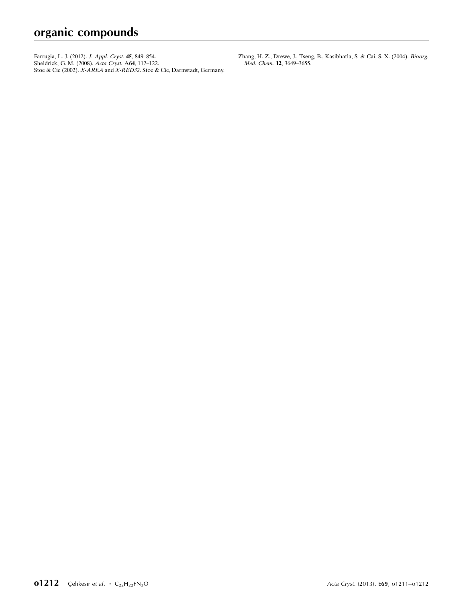[Farrugia, L. J. \(2012\).](https://scripts.iucr.org/cgi-bin/cr.cgi?rm=pdfbb&cnor=sj5341&bbid=BB6) J. Appl. Cryst. 45, 849–854. [Sheldrick, G. M. \(2008\).](https://scripts.iucr.org/cgi-bin/cr.cgi?rm=pdfbb&cnor=sj5341&bbid=BB7) Acta Cryst. A64, 112–122. Stoe & Cie (2002). X-AREA and X-RED32[. Stoe & Cie, Darmstadt, Germany.](https://scripts.iucr.org/cgi-bin/cr.cgi?rm=pdfbb&cnor=sj5341&bbid=BB8) [Zhang, H. Z., Drewe, J., Tseng, B., Kasibhatla, S. & Cai, S. X. \(2004\).](https://scripts.iucr.org/cgi-bin/cr.cgi?rm=pdfbb&cnor=sj5341&bbid=BB9) Bioorg. Med. Chem. 12[, 3649–3655.](https://scripts.iucr.org/cgi-bin/cr.cgi?rm=pdfbb&cnor=sj5341&bbid=BB9)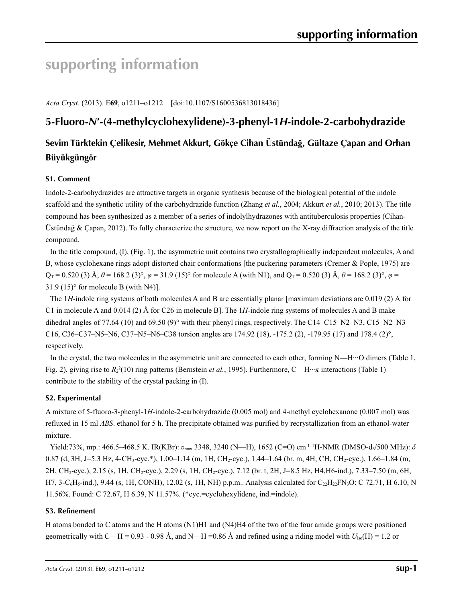# **supporting information**

*Acta Cryst.* (2013). E**69**, o1211–o1212 [doi:10.1107/S1600536813018436]

# **5-Fluoro-***N***′-(4-methylcyclohexylidene)-3-phenyl-1***H***-indole-2-carbohydrazide**

# **Sevim Türktekin Çelikesir, Mehmet Akkurt, Gökçe Cihan Üstündağ, Gültaze Çapan and Orhan Büyükgüngör**

### **S1. Comment**

Indole-2-carbohydrazides are attractive targets in organic synthesis because of the biological potential of the indole scaffold and the synthetic utility of the carbohydrazide function (Zhang *et al.*, 2004; Akkurt *et al.*, 2010; 2013). The title compound has been synthesized as a member of a series of indolylhydrazones with antituberculosis properties (Cihan-Üstündağ & Çapan, 2012). To fully characterize the structure, we now report on the X-ray diffraction analysis of the title compound.

In the title compound, (I), (Fig. 1), the asymmetric unit contains two crystallographically independent molecules, A and B, whose cyclohexane rings adopt distorted chair conformations [the puckering parameters (Cremer & Pople, 1975) are  $Q_T = 0.520$  (3) Å,  $\theta = 168.2$  (3)°,  $\varphi = 31.9$  (15)° for molecule A (with N1), and  $Q_T = 0.520$  (3) Å,  $\theta = 168.2$  (3)°,  $\varphi =$  $31.9$  (15)<sup>o</sup> for molecule B (with N4)].

The 1*H*-indole ring systems of both molecules A and B are essentially planar [maximum deviations are 0.019 (2) Å for C1 in molecule A and 0.014 (2) Å for C26 in molecule B]. The 1*H*-indole ring systems of molecules A and B make dihedral angles of 77.64 (10) and 69.50 (9)° with their phenyl rings, respectively. The C14–C15–N2–N3, C15–N2–N3– C16, C36–C37–N5–N6, C37–N5–N6–C38 torsion angles are 174.92 (18), -175.2 (2), -179.95 (17) and 178.4 (2)°, respectively.

In the crystal, the two molecules in the asymmetric unit are connected to each other, forming N—H···O dimers (Table 1, Fig. 2), giving rise to  $R_2^2(10)$  ring patterns (Bernstein *et al.*, 1995). Furthermore, C—H···*π* interactions (Table 1) contribute to the stability of the crystal packing in (I).

## **S2. Experimental**

A mixture of 5-fluoro-3-phenyl-1*H*-indole-2-carbohydrazide (0.005 mol) and 4-methyl cyclohexanone (0.007 mol) was refluxed in 15 ml *ABS*. ethanol for 5 h. The precipitate obtained was purified by recrystallization from an ethanol-water mixture.

Yield:73%, mp.: 466.5–468.5 K. IR(KBr): *v*<sub>max</sub> 3348, 3240 (N—H), 1652 (C=O) cm<sup>-1. 1</sup>H-NMR (DMSO-d<sub>6</sub>/500 MHz): δ 0.87 (d, 3H, J=5.3 Hz, 4-CH<sub>3</sub>-cyc.\*), 1.00–1.14 (m, 1H, CH<sub>2</sub>-cyc.), 1.44–1.64 (br. m, 4H, CH, CH<sub>2</sub>-cyc.), 1.66–1.84 (m, 2H, CH2-cyc.), 2.15 (s, 1H, CH2-cyc.), 2.29 (s, 1H, CH2-cyc.), 7.12 (br. t, 2H, J=8.5 Hz, H4,H6-ind.), 7.33–7.50 (m, 6H, H7, 3-C<sub>6</sub>H<sub>5</sub>-ind.), 9.44 (s, 1H, CONH), 12.02 (s, 1H, NH) p.p.m.. Analysis calculated for C<sub>22</sub>H<sub>22</sub>FN<sub>3</sub>O: C 72.71, H 6.10, N 11.56%. Found: C 72.67, H 6.39, N 11.57%. (\*cyc.=cyclohexylidene, ind.=indole).

### **S3. Refinement**

H atoms bonded to C atoms and the H atoms (N1)H1 and (N4)H4 of the two of the four amide groups were positioned geometrically with C—H = 0.93 - 0.98 Å, and N—H = 0.86 Å and refined using a riding model with  $U_{\text{iso}}(H) = 1.2$  or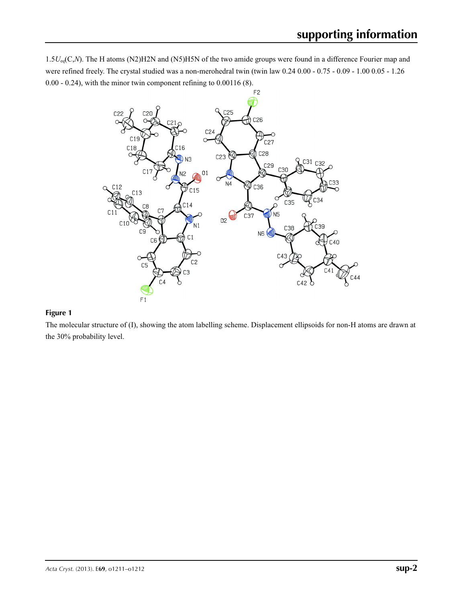1.5*U*eq(C,*N*). The H atoms (N2)H2N and (N5)H5N of the two amide groups were found in a difference Fourier map and were refined freely. The crystal studied was a non-merohedral twin (twin law 0.24 0.00 - 0.75 - 0.09 - 1.00 0.05 - 1.26 0.00 - 0.24), with the minor twin component refining to 0.00116 (8).



### **Figure 1**

The molecular structure of (I), showing the atom labelling scheme. Displacement ellipsoids for non-H atoms are drawn at the 30% probability level.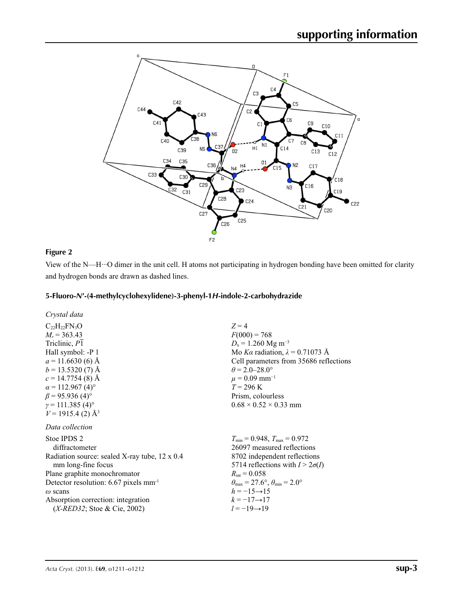

### **Figure 2**

View of the N—H···O dimer in the unit cell. H atoms not participating in hydrogen bonding have been omitted for clarity and hydrogen bonds are drawn as dashed lines.

#### **5-Fluoro-***N***′-(4-methylcyclohexylidene)-3-phenyl-1***H***-indole-2-carbohydrazide**

 $C_{22}H_{22}FN_3O$  $M_r$  = 363.43 Triclinic, *P*1 Hall symbol: -P 1  $a = 11.6630(6)$  Å  $b = 13.5320(7)$  Å  $c = 14.7754(8)$  Å  $\alpha$  = 112.967 (4)<sup>o</sup>  $\beta$  = 95.936 (4)<sup>o</sup>  $\gamma$  = 111.385 (4)<sup>o</sup>  $V = 1915.4$  (2)  $\AA$ <sup>3</sup>

*Data collection*

| Stoe IPDS 2                                       | $T_{\min} = 0$       |
|---------------------------------------------------|----------------------|
| diffractometer                                    | 26097                |
| Radiation source: sealed X-ray tube, 12 x 0.4     | 8702 i               |
| mm long-fine focus                                | 5714 r               |
| Plane graphite monochromator                      | $R_{\rm int} = 0$    |
| Detector resolution: 6.67 pixels mm <sup>-1</sup> | $\theta_{\rm max} =$ |
| $\omega$ scans                                    | $h=-1$               |
| Absorption correction: integration                | $k=-1$               |
| $(X \text{-} RED32; \text{Store & Cie, 2002})$    | $l = -1$             |
|                                                   |                      |

 $Z = 4$  $F(000) = 768$  $D_x = 1.260$  Mg m<sup>-3</sup> Mo *Kα* radiation, *λ* = 0.71073 Å Cell parameters from 35686 reflections  $\theta$  = 2.0–28.0°  $\mu$  = 0.09 mm<sup>-1</sup>  $T = 296 \text{ K}$ Prism, colourless  $0.68 \times 0.52 \times 0.33$  mm

*T*min = 0.948, *T*max = 0.972 measured reflections ndependent reflections  $\text{reflections with } I > 2\sigma(I)$  $0.058$  $27.6^\circ$ ,  $\theta_{\min} = 2.0^\circ$  $5 \rightarrow 15$ 7→17 **9** → 19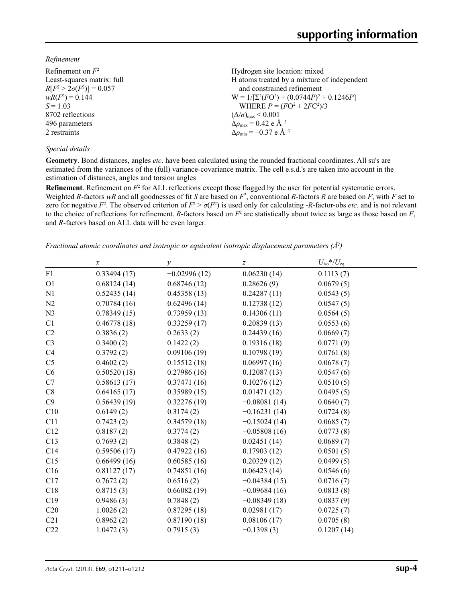*Refinement*

| Refinement on $F^2$             | Hydrogen site location: mixed                                |
|---------------------------------|--------------------------------------------------------------|
| Least-squares matrix: full      | H atoms treated by a mixture of independent                  |
| $R[F^2 > 2\sigma(F^2)] = 0.057$ | and constrained refinement                                   |
| $wR(F^2) = 0.144$               | $W = 1/[\Sigma^2(FO^2) + (0.0744P)^2 + 0.1246P]$             |
| $S = 1.03$                      | WHERE $P = (FO^2 + 2FC^2)/3$                                 |
| 8702 reflections                | $(\Delta/\sigma)_{\text{max}}$ < 0.001                       |
| 496 parameters                  | $\Delta \rho_{\text{max}} = 0.42 \text{ e } \text{\AA}^{-3}$ |
| 2 restraints                    | $\Delta\rho_{\rm min} = -0.37 \text{ e } \text{\AA}^{-3}$    |
|                                 |                                                              |

#### *Special details*

**Geometry**. Bond distances, angles *etc*. have been calculated using the rounded fractional coordinates. All su's are estimated from the variances of the (full) variance-covariance matrix. The cell e.s.d.'s are taken into account in the estimation of distances, angles and torsion angles

**Refinement**. Refinement on  $F^2$  for ALL reflections except those flagged by the user for potential systematic errors. Weighted *R*-factors  $wR$  and all goodnesses of fit *S* are based on  $F^2$ , conventional *R*-factors *R* are based on *F*, with *F* set to zero for negative  $F^2$ . The observed criterion of  $F^2 > \sigma(F^2)$  is used only for calculating -*R*-factor-obs *etc*. and is not relevant to the choice of reflections for refinement. *R*-factors based on  $F^2$  are statistically about twice as large as those based on  $F$ , and *R*-factors based on ALL data will be even larger.

*Fractional atomic coordinates and isotropic or equivalent isotropic displacement parameters (Å<sup>2</sup>)* 

|                | $\boldsymbol{x}$ | $\mathcal{Y}$  | $\boldsymbol{Z}$ | $U_{\rm iso}*/U_{\rm eq}$ |
|----------------|------------------|----------------|------------------|---------------------------|
| F1             | 0.33494(17)      | $-0.02996(12)$ | 0.06230(14)      | 0.1113(7)                 |
| O1             | 0.68124(14)      | 0.68746(12)    | 0.28626(9)       | 0.0679(5)                 |
| N1             | 0.52435(14)      | 0.45358(13)    | 0.24287(11)      | 0.0543(5)                 |
| N <sub>2</sub> | 0.70784(16)      | 0.62496(14)    | 0.12738(12)      | 0.0547(5)                 |
| N <sub>3</sub> | 0.78349(15)      | 0.73959(13)    | 0.14306(11)      | 0.0564(5)                 |
| C1             | 0.46778(18)      | 0.33259(17)    | 0.20839(13)      | 0.0553(6)                 |
| C2             | 0.3836(2)        | 0.2633(2)      | 0.24439(16)      | 0.0669(7)                 |
| C <sub>3</sub> | 0.3400(2)        | 0.1422(2)      | 0.19316(18)      | 0.0771(9)                 |
| C4             | 0.3792(2)        | 0.09106(19)    | 0.10798(19)      | 0.0761(8)                 |
| C <sub>5</sub> | 0.4602(2)        | 0.15512(18)    | 0.06997(16)      | 0.0678(7)                 |
| C6             | 0.50520(18)      | 0.27986(16)    | 0.12087(13)      | 0.0547(6)                 |
| C7             | 0.58613(17)      | 0.37471(16)    | 0.10276(12)      | 0.0510(5)                 |
| C8             | 0.64165(17)      | 0.35989(15)    | 0.01471(12)      | 0.0495(5)                 |
| C9             | 0.56439(19)      | 0.32276(19)    | $-0.08081(14)$   | 0.0640(7)                 |
| C10            | 0.6149(2)        | 0.3174(2)      | $-0.16231(14)$   | 0.0724(8)                 |
| C11            | 0.7423(2)        | 0.34579(18)    | $-0.15024(14)$   | 0.0685(7)                 |
| C12            | 0.8187(2)        | 0.3774(2)      | $-0.05808(16)$   | 0.0773(8)                 |
| C13            | 0.7693(2)        | 0.3848(2)      | 0.02451(14)      | 0.0689(7)                 |
| C14            | 0.59506(17)      | 0.47922(16)    | 0.17903(12)      | 0.0501(5)                 |
| C15            | 0.66499(16)      | 0.60585(16)    | 0.20329(12)      | 0.0499(5)                 |
| C16            | 0.81127(17)      | 0.74851(16)    | 0.06423(14)      | 0.0546(6)                 |
| C17            | 0.7672(2)        | 0.6516(2)      | $-0.04384(15)$   | 0.0716(7)                 |
| C18            | 0.8715(3)        | 0.66082(19)    | $-0.09684(16)$   | 0.0813(8)                 |
| C19            | 0.9486(3)        | 0.7848(2)      | $-0.08349(18)$   | 0.0837(9)                 |
| C20            | 1.0026(2)        | 0.87295(18)    | 0.02981(17)      | 0.0725(7)                 |
| C21            | 0.8962(2)        | 0.87190(18)    | 0.08106(17)      | 0.0705(8)                 |
| C22            | 1.0472(3)        | 0.7915(3)      | $-0.1398(3)$     | 0.1207(14)                |
|                |                  |                |                  |                           |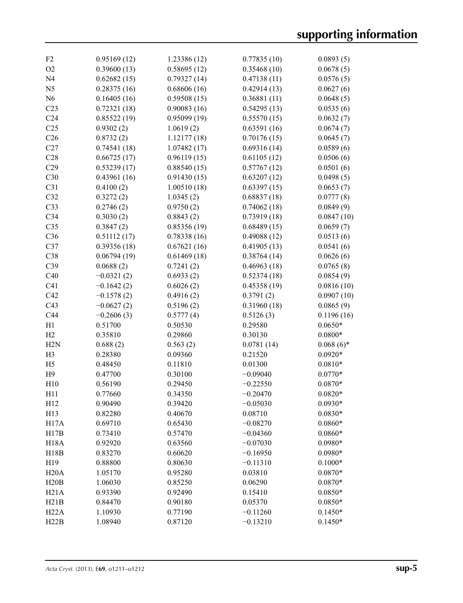| F <sub>2</sub>   | 0.95169(12)  | 1.23386 (12) | 0.77835(10) | 0.0893(5)    |
|------------------|--------------|--------------|-------------|--------------|
| O <sub>2</sub>   | 0.39600(13)  | 0.58695(12)  | 0.35468(10) | 0.0678(5)    |
| N <sub>4</sub>   | 0.62682(15)  | 0.79327(14)  | 0.47138(11) | 0.0576(5)    |
| N <sub>5</sub>   | 0.28375(16)  | 0.68606(16)  | 0.42914(13) | 0.0627(6)    |
| N <sub>6</sub>   | 0.16405(16)  | 0.59508(15)  | 0.36881(11) | 0.0648(5)    |
| C <sub>23</sub>  | 0.72321(18)  | 0.90083(16)  | 0.54295(13) | 0.0535(6)    |
| C <sub>24</sub>  | 0.85522(19)  | 0.95099(19)  | 0.55570(15) | 0.0632(7)    |
| C <sub>25</sub>  | 0.9302(2)    | 1.0619(2)    | 0.63591(16) | 0.0674(7)    |
| C <sub>26</sub>  | 0.8732(2)    | 1.12177(18)  | 0.70176(15) | 0.0645(7)    |
| C27              | 0.74541(18)  | 1.07482(17)  | 0.69316(14) | 0.0589(6)    |
| C28              | 0.66725(17)  | 0.96119(15)  | 0.61105(12) | 0.0506(6)    |
| C29              | 0.53239(17)  | 0.88540(15)  | 0.57767(12) | 0.0501(6)    |
| C30              | 0.43961(16)  | 0.91430(15)  | 0.63207(12) | 0.0498(5)    |
| C31              | 0.4100(2)    | 1.00510(18)  | 0.63397(15) | 0.0653(7)    |
| C32              | 0.3272(2)    | 1.0345(2)    | 0.68837(18) | 0.0777(8)    |
| C33              | 0.2746(2)    | 0.9750(2)    | 0.74062(18) | 0.0849(9)    |
| C34              | 0.3030(2)    | 0.8843(2)    | 0.73919(18) | 0.0847(10)   |
| C <sub>35</sub>  | 0.3847(2)    | 0.85356(19)  | 0.68489(15) | 0.0659(7)    |
| C36              | 0.51112(17)  | 0.78338(16)  | 0.49088(12) | 0.0513(6)    |
| C37              | 0.39356(18)  | 0.67621(16)  | 0.41905(13) | 0.0541(6)    |
| C38              | 0.06794(19)  | 0.61469(18)  | 0.38764(14) | 0.0626(6)    |
| C39              | 0.0688(2)    | 0.7241(2)    | 0.46963(18) | 0.0765(8)    |
| C40              | $-0.0321(2)$ | 0.6933(2)    | 0.52374(18) | 0.0854(9)    |
| C <sub>41</sub>  | $-0.1642(2)$ | 0.6026(2)    | 0.45358(19) | 0.0816(10)   |
| C42              | $-0.1578(2)$ | 0.4916(2)    | 0.3791(2)   | 0.0907(10)   |
| C43              | $-0.0627(2)$ | 0.5196(2)    | 0.31960(18) | 0.0865(9)    |
| C44              | $-0.2606(3)$ | 0.5777(4)    | 0.5126(3)   | 0.1196(16)   |
| H1               | 0.51700      | 0.50530      | 0.29580     | $0.0650*$    |
| H2               | 0.35810      | 0.29860      | 0.30130     | $0.0800*$    |
| H <sub>2</sub> N | 0.688(2)     | 0.563(2)     | 0.0781(14)  | $0.068(6)$ * |
| H <sub>3</sub>   | 0.28380      | 0.09360      | 0.21520     | $0.0920*$    |
| H <sub>5</sub>   | 0.48450      | 0.11810      | 0.01300     | $0.0810*$    |
| H <sub>9</sub>   | 0.47700      | 0.30100      | $-0.09040$  | $0.0770*$    |
| H10              | 0.56190      | 0.29450      | $-0.22550$  | $0.0870*$    |
| H11              | 0.77660      | 0.34350      | $-0.20470$  | $0.0820*$    |
| H <sub>12</sub>  | 0.90490      | 0.39420      | $-0.05030$  | $0.0930*$    |
| H13              | 0.82280      | 0.40670      | 0.08710     | $0.0830*$    |
| <b>H17A</b>      | 0.69710      | 0.65430      | $-0.08270$  | $0.0860*$    |
| H17B             | 0.73410      | 0.57470      | $-0.04360$  | $0.0860*$    |
| <b>H18A</b>      | 0.92920      | 0.63560      | $-0.07030$  | $0.0980*$    |
| H18B             | 0.83270      | 0.60620      | $-0.16950$  | $0.0980*$    |
| H19              | 0.88800      | 0.80630      | $-0.11310$  | $0.1000*$    |
| H20A             | 1.05170      | 0.95280      | 0.03810     | $0.0870*$    |
| H20B             | 1.06030      | 0.85250      | 0.06290     | $0.0870*$    |
| H21A             | 0.93390      | 0.92490      | 0.15410     | $0.0850*$    |
| H21B             | 0.84470      | 0.90180      | 0.05370     | $0.0850*$    |
| H22A             | 1.10930      | 0.77190      | $-0.11260$  | $0.1450*$    |
| H22B             | 1.08940      | 0.87120      | $-0.13210$  | $0.1450*$    |
|                  |              |              |             |              |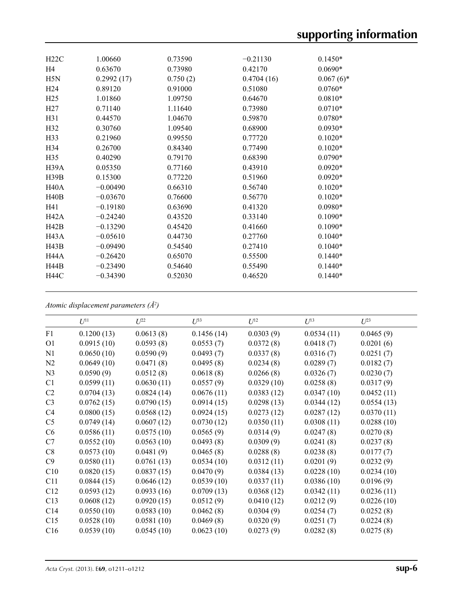| H22C              | 1.00660    | 0.73590  | $-0.21130$ | $0.1450*$    |
|-------------------|------------|----------|------------|--------------|
| H <sub>4</sub>    | 0.63670    | 0.73980  | 0.42170    | $0.0690*$    |
| H5N               | 0.2992(17) | 0.750(2) | 0.4704(16) | $0.067(6)$ * |
| H <sub>24</sub>   | 0.89120    | 0.91000  | 0.51080    | $0.0760*$    |
| H <sub>25</sub>   | 1.01860    | 1.09750  | 0.64670    | $0.0810*$    |
| H27               | 0.71140    | 1.11640  | 0.73980    | $0.0710*$    |
| H31               | 0.44570    | 1.04670  | 0.59870    | $0.0780*$    |
| H <sub>32</sub>   | 0.30760    | 1.09540  | 0.68900    | $0.0930*$    |
| H33               | 0.21960    | 0.99550  | 0.77720    | $0.1020*$    |
| H <sub>34</sub>   | 0.26700    | 0.84340  | 0.77490    | $0.1020*$    |
| H <sub>35</sub>   | 0.40290    | 0.79170  | 0.68390    | $0.0790*$    |
| H39A              | 0.05350    | 0.77160  | 0.43910    | $0.0920*$    |
| H39B              | 0.15300    | 0.77220  | 0.51960    | $0.0920*$    |
| H <sub>40</sub> A | $-0.00490$ | 0.66310  | 0.56740    | $0.1020*$    |
| H40B              | $-0.03670$ | 0.76600  | 0.56770    | $0.1020*$    |
| H41               | $-0.19180$ | 0.63690  | 0.41320    | $0.0980*$    |
| H <sub>42</sub> A | $-0.24240$ | 0.43520  | 0.33140    | $0.1090*$    |
| H42B              | $-0.13290$ | 0.45420  | 0.41660    | $0.1090*$    |
| H43A              | $-0.05610$ | 0.44730  | 0.27760    | $0.1040*$    |
| H43B              | $-0.09490$ | 0.54540  | 0.27410    | $0.1040*$    |
| H44A              | $-0.26420$ | 0.65070  | 0.55500    | $0.1440*$    |
| <b>H44B</b>       | $-0.23490$ | 0.54640  | 0.55490    | $0.1440*$    |
| <b>H44C</b>       | $-0.34390$ | 0.52030  | 0.46520    | $0.1440*$    |
|                   |            |          |            |              |

*Atomic displacement parameters (Å2 )*

|                 | $U^{11}$   | $U^{22}$   | $U^{33}$   | $U^{12}$   | $U^{13}$   | $U^{23}$   |
|-----------------|------------|------------|------------|------------|------------|------------|
| F1              | 0.1200(13) | 0.0613(8)  | 0.1456(14) | 0.0303(9)  | 0.0534(11) | 0.0465(9)  |
| O <sub>1</sub>  | 0.0915(10) | 0.0593(8)  | 0.0553(7)  | 0.0372(8)  | 0.0418(7)  | 0.0201(6)  |
| N1              | 0.0650(10) | 0.0590(9)  | 0.0493(7)  | 0.0337(8)  | 0.0316(7)  | 0.0251(7)  |
| N2              | 0.0649(10) | 0.0471(8)  | 0.0495(8)  | 0.0234(8)  | 0.0289(7)  | 0.0182(7)  |
| N <sub>3</sub>  | 0.0590(9)  | 0.0512(8)  | 0.0618(8)  | 0.0266(8)  | 0.0326(7)  | 0.0230(7)  |
| C1              | 0.0599(11) | 0.0630(11) | 0.0557(9)  | 0.0329(10) | 0.0258(8)  | 0.0317(9)  |
| C2              | 0.0704(13) | 0.0824(14) | 0.0676(11) | 0.0383(12) | 0.0347(10) | 0.0452(11) |
| C <sub>3</sub>  | 0.0762(15) | 0.0790(15) | 0.0914(15) | 0.0298(13) | 0.0344(12) | 0.0554(13) |
| C4              | 0.0800(15) | 0.0568(12) | 0.0924(15) | 0.0273(12) | 0.0287(12) | 0.0370(11) |
| C <sub>5</sub>  | 0.0749(14) | 0.0607(12) | 0.0730(12) | 0.0350(11) | 0.0308(11) | 0.0288(10) |
| C6              | 0.0586(11) | 0.0575(10) | 0.0565(9)  | 0.0314(9)  | 0.0247(8)  | 0.0270(8)  |
| C7              | 0.0552(10) | 0.0563(10) | 0.0493(8)  | 0.0309(9)  | 0.0241(8)  | 0.0237(8)  |
| C8              | 0.0573(10) | 0.0481(9)  | 0.0465(8)  | 0.0288(8)  | 0.0238(8)  | 0.0177(7)  |
| C9              | 0.0580(11) | 0.0761(13) | 0.0534(10) | 0.0312(11) | 0.0201(9)  | 0.0232(9)  |
| C10             | 0.0820(15) | 0.0837(15) | 0.0470(9)  | 0.0384(13) | 0.0228(10) | 0.0234(10) |
| C11             | 0.0844(15) | 0.0646(12) | 0.0539(10) | 0.0337(11) | 0.0386(10) | 0.0196(9)  |
| C12             | 0.0593(12) | 0.0933(16) | 0.0709(13) | 0.0368(12) | 0.0342(11) | 0.0236(11) |
| C13             | 0.0608(12) | 0.0920(15) | 0.0512(9)  | 0.0410(12) | 0.0212(9)  | 0.0226(10) |
| C <sub>14</sub> | 0.0550(10) | 0.0583(10) | 0.0462(8)  | 0.0304(9)  | 0.0254(7)  | 0.0252(8)  |
| C15             | 0.0528(10) | 0.0581(10) | 0.0469(8)  | 0.0320(9)  | 0.0251(7)  | 0.0224(8)  |
| C16             | 0.0539(10) | 0.0545(10) | 0.0623(10) | 0.0273(9)  | 0.0282(8)  | 0.0275(8)  |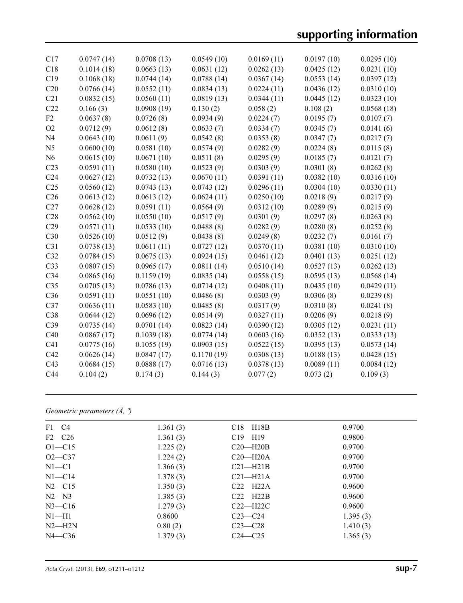# **supporting information**

| C17             | 0.0747(14) | 0.0708(13) | 0.0549(10) | 0.0169(11) | 0.0197(10) | 0.0295(10) |
|-----------------|------------|------------|------------|------------|------------|------------|
| C18             | 0.1014(18) | 0.0663(13) | 0.0631(12) | 0.0262(13) | 0.0425(12) | 0.0231(10) |
| C19             | 0.1068(18) | 0.0744(14) | 0.0788(14) | 0.0367(14) | 0.0553(14) | 0.0397(12) |
| C20             | 0.0766(14) | 0.0552(11) | 0.0834(13) | 0.0224(11) | 0.0436(12) | 0.0310(10) |
| C21             | 0.0832(15) | 0.0560(11) | 0.0819(13) | 0.0344(11) | 0.0445(12) | 0.0323(10) |
| C22             | 0.166(3)   | 0.0908(19) | 0.130(2)   | 0.058(2)   | 0.108(2)   | 0.0568(18) |
| F2              | 0.0637(8)  | 0.0726(8)  | 0.0934(9)  | 0.0224(7)  | 0.0195(7)  | 0.0107(7)  |
| O2              | 0.0712(9)  | 0.0612(8)  | 0.0633(7)  | 0.0334(7)  | 0.0345(7)  | 0.0141(6)  |
| N <sub>4</sub>  | 0.0643(10) | 0.0611(9)  | 0.0542(8)  | 0.0353(8)  | 0.0347(7)  | 0.0217(7)  |
| N <sub>5</sub>  | 0.0600(10) | 0.0581(10) | 0.0574(9)  | 0.0282(9)  | 0.0224(8)  | 0.0115(8)  |
| N <sub>6</sub>  | 0.0615(10) | 0.0671(10) | 0.0511(8)  | 0.0295(9)  | 0.0185(7)  | 0.0121(7)  |
| C <sub>23</sub> | 0.0591(11) | 0.0580(10) | 0.0523(9)  | 0.0303(9)  | 0.0301(8)  | 0.0262(8)  |
| C <sub>24</sub> | 0.0627(12) | 0.0732(13) | 0.0670(11) | 0.0391(11) | 0.0382(10) | 0.0316(10) |
| C <sub>25</sub> | 0.0560(12) | 0.0743(13) | 0.0743(12) | 0.0296(11) | 0.0304(10) | 0.0330(11) |
| C <sub>26</sub> | 0.0613(12) | 0.0613(12) | 0.0624(11) | 0.0250(10) | 0.0218(9)  | 0.0217(9)  |
| C27             | 0.0628(12) | 0.0591(11) | 0.0564(9)  | 0.0312(10) | 0.0289(9)  | 0.0215(9)  |
| C28             | 0.0562(10) | 0.0550(10) | 0.0517(9)  | 0.0301(9)  | 0.0297(8)  | 0.0263(8)  |
| C29             | 0.0571(11) | 0.0533(10) | 0.0488(8)  | 0.0282(9)  | 0.0280(8)  | 0.0252(8)  |
| C30             | 0.0526(10) | 0.0512(9)  | 0.0438(8)  | 0.0249(8)  | 0.0232(7)  | 0.0161(7)  |
| C31             | 0.0738(13) | 0.0611(11) | 0.0727(12) | 0.0370(11) | 0.0381(10) | 0.0310(10) |
| C32             | 0.0784(15) | 0.0675(13) | 0.0924(15) | 0.0461(12) | 0.0401(13) | 0.0251(12) |
| C33             | 0.0807(15) | 0.0965(17) | 0.0811(14) | 0.0510(14) | 0.0527(13) | 0.0262(13) |
| C34             | 0.0865(16) | 0.1159(19) | 0.0835(14) | 0.0558(15) | 0.0595(13) | 0.0568(14) |
| C <sub>35</sub> | 0.0705(13) | 0.0786(13) | 0.0714(12) | 0.0408(11) | 0.0435(10) | 0.0429(11) |
| C36             | 0.0591(11) | 0.0551(10) | 0.0486(8)  | 0.0303(9)  | 0.0306(8)  | 0.0239(8)  |
| C37             | 0.0636(11) | 0.0583(10) | 0.0485(8)  | 0.0317(9)  | 0.0310(8)  | 0.0241(8)  |
| C38             | 0.0644(12) | 0.0696(12) | 0.0514(9)  | 0.0327(11) | 0.0206(9)  | 0.0218(9)  |
| C39             | 0.0735(14) | 0.0701(14) | 0.0823(14) | 0.0390(12) | 0.0305(12) | 0.0231(11) |
| C40             | 0.0867(17) | 0.1039(18) | 0.0774(14) | 0.0603(16) | 0.0352(13) | 0.0333(13) |
| C <sub>41</sub> | 0.0775(16) | 0.1055(19) | 0.0903(15) | 0.0522(15) | 0.0395(13) | 0.0573(14) |
| C42             | 0.0626(14) | 0.0847(17) | 0.1170(19) | 0.0308(13) | 0.0188(13) | 0.0428(15) |
| C43             | 0.0684(15) | 0.0888(17) | 0.0716(13) | 0.0378(13) | 0.0089(11) | 0.0084(12) |
| C44             | 0.104(2)   | 0.174(3)   | 0.144(3)   | 0.077(2)   | 0.073(2)   | 0.109(3)   |
|                 |            |            |            |            |            |            |

## *Geometric parameters (Å, º)*

| $F1 - C4$  | 1.361(3) | $C18 - H18B$ | 0.9700   |  |
|------------|----------|--------------|----------|--|
| $F2-C26$   | 1.361(3) | $C19 - H19$  | 0.9800   |  |
| $O1 - C15$ | 1.225(2) | $C20 - H20B$ | 0.9700   |  |
| $O2 - C37$ | 1.224(2) | $C20-H20A$   | 0.9700   |  |
| $N1 - C1$  | 1.366(3) | $C21 - H21B$ | 0.9700   |  |
| $N1 - C14$ | 1.378(3) | $C21-H21A$   | 0.9700   |  |
| $N2$ —C15  | 1.350(3) | $C22-H22A$   | 0.9600   |  |
| $N2 - N3$  | 1.385(3) | $C22-H22B$   | 0.9600   |  |
| $N3 - C16$ | 1.279(3) | $C22-H22C$   | 0.9600   |  |
| $N1-H1$    | 0.8600   | $C23 - C24$  | 1.395(3) |  |
| $N2-H2N$   | 0.80(2)  | $C23 - C28$  | 1.410(3) |  |
| $N4 - C36$ | 1.379(3) | $C24 - C25$  | 1.365(3) |  |
|            |          |              |          |  |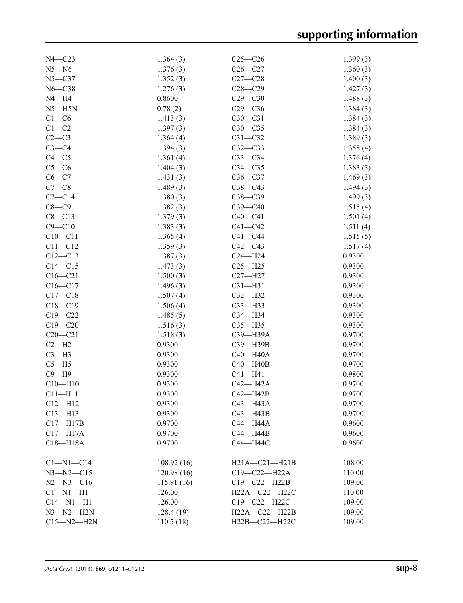| $N4 - C23$<br>1.364(3)<br>$C25-C26$<br>1.399(3)<br>$N5 - N6$<br>1.376(3)<br>$C26-C27$<br>1.360(3)<br>$N5 - C37$<br>1.352(3)<br>$C27-C28$<br>1.400(3)<br>$C28-C29$<br>$N6 - C38$<br>1.276(3)<br>1.427(3)<br>$N4 - H4$<br>0.8600<br>$C29 - C30$<br>1.488(3)<br>$N5 - H5N$<br>0.78(2)<br>$C29-C36$<br>1.384(3)<br>$C1-C6$<br>1.413(3)<br>$C30-C31$<br>1.384(3)<br>$C1-C2$<br>$C30-C35$<br>1.397(3)<br>1.384(3)<br>$C2-C3$<br>1.364(4)<br>$C31 - C32$<br>1.389(3)<br>$C3-C4$<br>1.394(3)<br>$C32-C33$<br>1.358(4)<br>$C4 - C5$<br>1.361(4)<br>$C33-C34$<br>1.376(4)<br>$C5-C6$<br>1.404(3)<br>$C34 - C35$<br>1.383(3)<br>$C6 - C7$<br>1.431(3)<br>$C36-C37$<br>1.469(3)<br>$C7-C8$<br>1.489(3)<br>$C38-C43$<br>1.494(3)<br>$C7 - C14$<br>C38-C39<br>1.380(3)<br>1.499(3)<br>$C8-C9$<br>$C39-C40$<br>1.382(3)<br>1.515(4)<br>$C8 - C13$<br>1.379(3)<br>$C40-C41$<br>1.501(4)<br>$C9 - C10$<br>1.383(3)<br>$C41 - C42$<br>1.511(4)<br>$C10 - C11$<br>1.365(4)<br>$C41 - C44$<br>1.515(5)<br>$C11 - C12$<br>1.359(3)<br>$C42-C43$<br>1.517(4)<br>0.9300<br>$C12-C13$<br>1.387(3)<br>$C24 - H24$<br>$C14 - C15$<br>1.473(3)<br>$C25 - H25$<br>0.9300<br>$C16 - C21$<br>1.500(3)<br>$C27 - H27$<br>0.9300<br>$C16 - C17$<br>1.496(3)<br>$C31 - H31$<br>0.9300<br>$C17 - C18$<br>1.507(4)<br>$C32-H32$<br>0.9300<br>$C18 - C19$<br>1.506(4)<br>$C33$ -H33<br>0.9300<br>$C19 - C22$<br>1.485(5)<br>$C34 - H34$<br>0.9300<br>$C19 - C20$<br>1.516(3)<br>$C35 - H35$<br>0.9300<br>$C20 - C21$<br>0.9700<br>1.518(3)<br>C39-H39A<br>$C2-H2$<br>0.9300<br>C39-H39B<br>0.9700<br>$C3-H3$<br>0.9300<br>$C40 - H40A$<br>0.9700<br>$C5 - H5$<br>$C40 - H40B$<br>0.9700<br>0.9300<br>$C9 - H9$<br>$C41 - H41$<br>0.9300<br>0.9800<br>$C10 - H10$<br>$C42 - H42A$<br>0.9300<br>0.9700<br>$C11 - H11$<br>$C42 - H42B$<br>0.9300<br>0.9700<br>$C12 - H12$<br>0.9300<br>0.9700<br>$C43 - H43A$<br>$C13 - H13$<br>0.9300<br>$C43 - H43B$<br>0.9700<br>$C17 - H17B$<br>0.9700<br>C44-H44A<br>0.9600<br>$C17 - H17A$<br>0.9700<br>C44-H44B<br>0.9600<br>$C18 - H18A$<br>0.9700<br>С44—Н44С<br>0.9600<br>108.92(16)<br>$H21A - C21 - H21B$<br>108.00<br>$Cl-M1-C14$<br>$N3 - N2 - C15$<br>120.98(16)<br>$C19 - C22 - H22A$<br>110.00<br>$N2 - N3 - C16$<br>115.91(16)<br>C19-C22-H22B<br>109.00<br>$Cl-M1-H1$<br>126.00<br>H22A-C22-H22C<br>110.00<br>$C14 - N1 - H1$<br>126.00<br>C19-C22-H22C<br>109.00<br>$N3 - N2 - H2N$<br>128.4(19)<br>H22A-C22-H22B<br>109.00<br>$C15 - N2 - H2N$ |           |               |        |
|--------------------------------------------------------------------------------------------------------------------------------------------------------------------------------------------------------------------------------------------------------------------------------------------------------------------------------------------------------------------------------------------------------------------------------------------------------------------------------------------------------------------------------------------------------------------------------------------------------------------------------------------------------------------------------------------------------------------------------------------------------------------------------------------------------------------------------------------------------------------------------------------------------------------------------------------------------------------------------------------------------------------------------------------------------------------------------------------------------------------------------------------------------------------------------------------------------------------------------------------------------------------------------------------------------------------------------------------------------------------------------------------------------------------------------------------------------------------------------------------------------------------------------------------------------------------------------------------------------------------------------------------------------------------------------------------------------------------------------------------------------------------------------------------------------------------------------------------------------------------------------------------------------------------------------------------------------------------------------------------------------------------------------------------------------------------------------------------------------------------------------------------------------------------------------------------------------------------------------------------------------------------------------------------------------------------------------------------------------------------------------------------------------------------------------------------------------------|-----------|---------------|--------|
|                                                                                                                                                                                                                                                                                                                                                                                                                                                                                                                                                                                                                                                                                                                                                                                                                                                                                                                                                                                                                                                                                                                                                                                                                                                                                                                                                                                                                                                                                                                                                                                                                                                                                                                                                                                                                                                                                                                                                                                                                                                                                                                                                                                                                                                                                                                                                                                                                                                              |           |               |        |
|                                                                                                                                                                                                                                                                                                                                                                                                                                                                                                                                                                                                                                                                                                                                                                                                                                                                                                                                                                                                                                                                                                                                                                                                                                                                                                                                                                                                                                                                                                                                                                                                                                                                                                                                                                                                                                                                                                                                                                                                                                                                                                                                                                                                                                                                                                                                                                                                                                                              |           |               |        |
|                                                                                                                                                                                                                                                                                                                                                                                                                                                                                                                                                                                                                                                                                                                                                                                                                                                                                                                                                                                                                                                                                                                                                                                                                                                                                                                                                                                                                                                                                                                                                                                                                                                                                                                                                                                                                                                                                                                                                                                                                                                                                                                                                                                                                                                                                                                                                                                                                                                              |           |               |        |
|                                                                                                                                                                                                                                                                                                                                                                                                                                                                                                                                                                                                                                                                                                                                                                                                                                                                                                                                                                                                                                                                                                                                                                                                                                                                                                                                                                                                                                                                                                                                                                                                                                                                                                                                                                                                                                                                                                                                                                                                                                                                                                                                                                                                                                                                                                                                                                                                                                                              |           |               |        |
|                                                                                                                                                                                                                                                                                                                                                                                                                                                                                                                                                                                                                                                                                                                                                                                                                                                                                                                                                                                                                                                                                                                                                                                                                                                                                                                                                                                                                                                                                                                                                                                                                                                                                                                                                                                                                                                                                                                                                                                                                                                                                                                                                                                                                                                                                                                                                                                                                                                              |           |               |        |
|                                                                                                                                                                                                                                                                                                                                                                                                                                                                                                                                                                                                                                                                                                                                                                                                                                                                                                                                                                                                                                                                                                                                                                                                                                                                                                                                                                                                                                                                                                                                                                                                                                                                                                                                                                                                                                                                                                                                                                                                                                                                                                                                                                                                                                                                                                                                                                                                                                                              |           |               |        |
|                                                                                                                                                                                                                                                                                                                                                                                                                                                                                                                                                                                                                                                                                                                                                                                                                                                                                                                                                                                                                                                                                                                                                                                                                                                                                                                                                                                                                                                                                                                                                                                                                                                                                                                                                                                                                                                                                                                                                                                                                                                                                                                                                                                                                                                                                                                                                                                                                                                              |           |               |        |
|                                                                                                                                                                                                                                                                                                                                                                                                                                                                                                                                                                                                                                                                                                                                                                                                                                                                                                                                                                                                                                                                                                                                                                                                                                                                                                                                                                                                                                                                                                                                                                                                                                                                                                                                                                                                                                                                                                                                                                                                                                                                                                                                                                                                                                                                                                                                                                                                                                                              |           |               |        |
|                                                                                                                                                                                                                                                                                                                                                                                                                                                                                                                                                                                                                                                                                                                                                                                                                                                                                                                                                                                                                                                                                                                                                                                                                                                                                                                                                                                                                                                                                                                                                                                                                                                                                                                                                                                                                                                                                                                                                                                                                                                                                                                                                                                                                                                                                                                                                                                                                                                              |           |               |        |
|                                                                                                                                                                                                                                                                                                                                                                                                                                                                                                                                                                                                                                                                                                                                                                                                                                                                                                                                                                                                                                                                                                                                                                                                                                                                                                                                                                                                                                                                                                                                                                                                                                                                                                                                                                                                                                                                                                                                                                                                                                                                                                                                                                                                                                                                                                                                                                                                                                                              |           |               |        |
|                                                                                                                                                                                                                                                                                                                                                                                                                                                                                                                                                                                                                                                                                                                                                                                                                                                                                                                                                                                                                                                                                                                                                                                                                                                                                                                                                                                                                                                                                                                                                                                                                                                                                                                                                                                                                                                                                                                                                                                                                                                                                                                                                                                                                                                                                                                                                                                                                                                              |           |               |        |
|                                                                                                                                                                                                                                                                                                                                                                                                                                                                                                                                                                                                                                                                                                                                                                                                                                                                                                                                                                                                                                                                                                                                                                                                                                                                                                                                                                                                                                                                                                                                                                                                                                                                                                                                                                                                                                                                                                                                                                                                                                                                                                                                                                                                                                                                                                                                                                                                                                                              |           |               |        |
|                                                                                                                                                                                                                                                                                                                                                                                                                                                                                                                                                                                                                                                                                                                                                                                                                                                                                                                                                                                                                                                                                                                                                                                                                                                                                                                                                                                                                                                                                                                                                                                                                                                                                                                                                                                                                                                                                                                                                                                                                                                                                                                                                                                                                                                                                                                                                                                                                                                              |           |               |        |
|                                                                                                                                                                                                                                                                                                                                                                                                                                                                                                                                                                                                                                                                                                                                                                                                                                                                                                                                                                                                                                                                                                                                                                                                                                                                                                                                                                                                                                                                                                                                                                                                                                                                                                                                                                                                                                                                                                                                                                                                                                                                                                                                                                                                                                                                                                                                                                                                                                                              |           |               |        |
|                                                                                                                                                                                                                                                                                                                                                                                                                                                                                                                                                                                                                                                                                                                                                                                                                                                                                                                                                                                                                                                                                                                                                                                                                                                                                                                                                                                                                                                                                                                                                                                                                                                                                                                                                                                                                                                                                                                                                                                                                                                                                                                                                                                                                                                                                                                                                                                                                                                              |           |               |        |
|                                                                                                                                                                                                                                                                                                                                                                                                                                                                                                                                                                                                                                                                                                                                                                                                                                                                                                                                                                                                                                                                                                                                                                                                                                                                                                                                                                                                                                                                                                                                                                                                                                                                                                                                                                                                                                                                                                                                                                                                                                                                                                                                                                                                                                                                                                                                                                                                                                                              |           |               |        |
|                                                                                                                                                                                                                                                                                                                                                                                                                                                                                                                                                                                                                                                                                                                                                                                                                                                                                                                                                                                                                                                                                                                                                                                                                                                                                                                                                                                                                                                                                                                                                                                                                                                                                                                                                                                                                                                                                                                                                                                                                                                                                                                                                                                                                                                                                                                                                                                                                                                              |           |               |        |
|                                                                                                                                                                                                                                                                                                                                                                                                                                                                                                                                                                                                                                                                                                                                                                                                                                                                                                                                                                                                                                                                                                                                                                                                                                                                                                                                                                                                                                                                                                                                                                                                                                                                                                                                                                                                                                                                                                                                                                                                                                                                                                                                                                                                                                                                                                                                                                                                                                                              |           |               |        |
|                                                                                                                                                                                                                                                                                                                                                                                                                                                                                                                                                                                                                                                                                                                                                                                                                                                                                                                                                                                                                                                                                                                                                                                                                                                                                                                                                                                                                                                                                                                                                                                                                                                                                                                                                                                                                                                                                                                                                                                                                                                                                                                                                                                                                                                                                                                                                                                                                                                              |           |               |        |
|                                                                                                                                                                                                                                                                                                                                                                                                                                                                                                                                                                                                                                                                                                                                                                                                                                                                                                                                                                                                                                                                                                                                                                                                                                                                                                                                                                                                                                                                                                                                                                                                                                                                                                                                                                                                                                                                                                                                                                                                                                                                                                                                                                                                                                                                                                                                                                                                                                                              |           |               |        |
|                                                                                                                                                                                                                                                                                                                                                                                                                                                                                                                                                                                                                                                                                                                                                                                                                                                                                                                                                                                                                                                                                                                                                                                                                                                                                                                                                                                                                                                                                                                                                                                                                                                                                                                                                                                                                                                                                                                                                                                                                                                                                                                                                                                                                                                                                                                                                                                                                                                              |           |               |        |
|                                                                                                                                                                                                                                                                                                                                                                                                                                                                                                                                                                                                                                                                                                                                                                                                                                                                                                                                                                                                                                                                                                                                                                                                                                                                                                                                                                                                                                                                                                                                                                                                                                                                                                                                                                                                                                                                                                                                                                                                                                                                                                                                                                                                                                                                                                                                                                                                                                                              |           |               |        |
|                                                                                                                                                                                                                                                                                                                                                                                                                                                                                                                                                                                                                                                                                                                                                                                                                                                                                                                                                                                                                                                                                                                                                                                                                                                                                                                                                                                                                                                                                                                                                                                                                                                                                                                                                                                                                                                                                                                                                                                                                                                                                                                                                                                                                                                                                                                                                                                                                                                              |           |               |        |
|                                                                                                                                                                                                                                                                                                                                                                                                                                                                                                                                                                                                                                                                                                                                                                                                                                                                                                                                                                                                                                                                                                                                                                                                                                                                                                                                                                                                                                                                                                                                                                                                                                                                                                                                                                                                                                                                                                                                                                                                                                                                                                                                                                                                                                                                                                                                                                                                                                                              |           |               |        |
|                                                                                                                                                                                                                                                                                                                                                                                                                                                                                                                                                                                                                                                                                                                                                                                                                                                                                                                                                                                                                                                                                                                                                                                                                                                                                                                                                                                                                                                                                                                                                                                                                                                                                                                                                                                                                                                                                                                                                                                                                                                                                                                                                                                                                                                                                                                                                                                                                                                              |           |               |        |
|                                                                                                                                                                                                                                                                                                                                                                                                                                                                                                                                                                                                                                                                                                                                                                                                                                                                                                                                                                                                                                                                                                                                                                                                                                                                                                                                                                                                                                                                                                                                                                                                                                                                                                                                                                                                                                                                                                                                                                                                                                                                                                                                                                                                                                                                                                                                                                                                                                                              |           |               |        |
|                                                                                                                                                                                                                                                                                                                                                                                                                                                                                                                                                                                                                                                                                                                                                                                                                                                                                                                                                                                                                                                                                                                                                                                                                                                                                                                                                                                                                                                                                                                                                                                                                                                                                                                                                                                                                                                                                                                                                                                                                                                                                                                                                                                                                                                                                                                                                                                                                                                              |           |               |        |
|                                                                                                                                                                                                                                                                                                                                                                                                                                                                                                                                                                                                                                                                                                                                                                                                                                                                                                                                                                                                                                                                                                                                                                                                                                                                                                                                                                                                                                                                                                                                                                                                                                                                                                                                                                                                                                                                                                                                                                                                                                                                                                                                                                                                                                                                                                                                                                                                                                                              |           |               |        |
|                                                                                                                                                                                                                                                                                                                                                                                                                                                                                                                                                                                                                                                                                                                                                                                                                                                                                                                                                                                                                                                                                                                                                                                                                                                                                                                                                                                                                                                                                                                                                                                                                                                                                                                                                                                                                                                                                                                                                                                                                                                                                                                                                                                                                                                                                                                                                                                                                                                              |           |               |        |
|                                                                                                                                                                                                                                                                                                                                                                                                                                                                                                                                                                                                                                                                                                                                                                                                                                                                                                                                                                                                                                                                                                                                                                                                                                                                                                                                                                                                                                                                                                                                                                                                                                                                                                                                                                                                                                                                                                                                                                                                                                                                                                                                                                                                                                                                                                                                                                                                                                                              |           |               |        |
|                                                                                                                                                                                                                                                                                                                                                                                                                                                                                                                                                                                                                                                                                                                                                                                                                                                                                                                                                                                                                                                                                                                                                                                                                                                                                                                                                                                                                                                                                                                                                                                                                                                                                                                                                                                                                                                                                                                                                                                                                                                                                                                                                                                                                                                                                                                                                                                                                                                              |           |               |        |
|                                                                                                                                                                                                                                                                                                                                                                                                                                                                                                                                                                                                                                                                                                                                                                                                                                                                                                                                                                                                                                                                                                                                                                                                                                                                                                                                                                                                                                                                                                                                                                                                                                                                                                                                                                                                                                                                                                                                                                                                                                                                                                                                                                                                                                                                                                                                                                                                                                                              |           |               |        |
|                                                                                                                                                                                                                                                                                                                                                                                                                                                                                                                                                                                                                                                                                                                                                                                                                                                                                                                                                                                                                                                                                                                                                                                                                                                                                                                                                                                                                                                                                                                                                                                                                                                                                                                                                                                                                                                                                                                                                                                                                                                                                                                                                                                                                                                                                                                                                                                                                                                              |           |               |        |
|                                                                                                                                                                                                                                                                                                                                                                                                                                                                                                                                                                                                                                                                                                                                                                                                                                                                                                                                                                                                                                                                                                                                                                                                                                                                                                                                                                                                                                                                                                                                                                                                                                                                                                                                                                                                                                                                                                                                                                                                                                                                                                                                                                                                                                                                                                                                                                                                                                                              |           |               |        |
|                                                                                                                                                                                                                                                                                                                                                                                                                                                                                                                                                                                                                                                                                                                                                                                                                                                                                                                                                                                                                                                                                                                                                                                                                                                                                                                                                                                                                                                                                                                                                                                                                                                                                                                                                                                                                                                                                                                                                                                                                                                                                                                                                                                                                                                                                                                                                                                                                                                              |           |               |        |
|                                                                                                                                                                                                                                                                                                                                                                                                                                                                                                                                                                                                                                                                                                                                                                                                                                                                                                                                                                                                                                                                                                                                                                                                                                                                                                                                                                                                                                                                                                                                                                                                                                                                                                                                                                                                                                                                                                                                                                                                                                                                                                                                                                                                                                                                                                                                                                                                                                                              |           |               |        |
|                                                                                                                                                                                                                                                                                                                                                                                                                                                                                                                                                                                                                                                                                                                                                                                                                                                                                                                                                                                                                                                                                                                                                                                                                                                                                                                                                                                                                                                                                                                                                                                                                                                                                                                                                                                                                                                                                                                                                                                                                                                                                                                                                                                                                                                                                                                                                                                                                                                              |           |               |        |
|                                                                                                                                                                                                                                                                                                                                                                                                                                                                                                                                                                                                                                                                                                                                                                                                                                                                                                                                                                                                                                                                                                                                                                                                                                                                                                                                                                                                                                                                                                                                                                                                                                                                                                                                                                                                                                                                                                                                                                                                                                                                                                                                                                                                                                                                                                                                                                                                                                                              |           |               |        |
|                                                                                                                                                                                                                                                                                                                                                                                                                                                                                                                                                                                                                                                                                                                                                                                                                                                                                                                                                                                                                                                                                                                                                                                                                                                                                                                                                                                                                                                                                                                                                                                                                                                                                                                                                                                                                                                                                                                                                                                                                                                                                                                                                                                                                                                                                                                                                                                                                                                              |           |               |        |
|                                                                                                                                                                                                                                                                                                                                                                                                                                                                                                                                                                                                                                                                                                                                                                                                                                                                                                                                                                                                                                                                                                                                                                                                                                                                                                                                                                                                                                                                                                                                                                                                                                                                                                                                                                                                                                                                                                                                                                                                                                                                                                                                                                                                                                                                                                                                                                                                                                                              |           |               |        |
|                                                                                                                                                                                                                                                                                                                                                                                                                                                                                                                                                                                                                                                                                                                                                                                                                                                                                                                                                                                                                                                                                                                                                                                                                                                                                                                                                                                                                                                                                                                                                                                                                                                                                                                                                                                                                                                                                                                                                                                                                                                                                                                                                                                                                                                                                                                                                                                                                                                              |           |               |        |
|                                                                                                                                                                                                                                                                                                                                                                                                                                                                                                                                                                                                                                                                                                                                                                                                                                                                                                                                                                                                                                                                                                                                                                                                                                                                                                                                                                                                                                                                                                                                                                                                                                                                                                                                                                                                                                                                                                                                                                                                                                                                                                                                                                                                                                                                                                                                                                                                                                                              |           |               |        |
|                                                                                                                                                                                                                                                                                                                                                                                                                                                                                                                                                                                                                                                                                                                                                                                                                                                                                                                                                                                                                                                                                                                                                                                                                                                                                                                                                                                                                                                                                                                                                                                                                                                                                                                                                                                                                                                                                                                                                                                                                                                                                                                                                                                                                                                                                                                                                                                                                                                              |           |               |        |
|                                                                                                                                                                                                                                                                                                                                                                                                                                                                                                                                                                                                                                                                                                                                                                                                                                                                                                                                                                                                                                                                                                                                                                                                                                                                                                                                                                                                                                                                                                                                                                                                                                                                                                                                                                                                                                                                                                                                                                                                                                                                                                                                                                                                                                                                                                                                                                                                                                                              |           |               |        |
|                                                                                                                                                                                                                                                                                                                                                                                                                                                                                                                                                                                                                                                                                                                                                                                                                                                                                                                                                                                                                                                                                                                                                                                                                                                                                                                                                                                                                                                                                                                                                                                                                                                                                                                                                                                                                                                                                                                                                                                                                                                                                                                                                                                                                                                                                                                                                                                                                                                              |           |               |        |
|                                                                                                                                                                                                                                                                                                                                                                                                                                                                                                                                                                                                                                                                                                                                                                                                                                                                                                                                                                                                                                                                                                                                                                                                                                                                                                                                                                                                                                                                                                                                                                                                                                                                                                                                                                                                                                                                                                                                                                                                                                                                                                                                                                                                                                                                                                                                                                                                                                                              |           |               |        |
|                                                                                                                                                                                                                                                                                                                                                                                                                                                                                                                                                                                                                                                                                                                                                                                                                                                                                                                                                                                                                                                                                                                                                                                                                                                                                                                                                                                                                                                                                                                                                                                                                                                                                                                                                                                                                                                                                                                                                                                                                                                                                                                                                                                                                                                                                                                                                                                                                                                              |           |               |        |
|                                                                                                                                                                                                                                                                                                                                                                                                                                                                                                                                                                                                                                                                                                                                                                                                                                                                                                                                                                                                                                                                                                                                                                                                                                                                                                                                                                                                                                                                                                                                                                                                                                                                                                                                                                                                                                                                                                                                                                                                                                                                                                                                                                                                                                                                                                                                                                                                                                                              |           |               |        |
|                                                                                                                                                                                                                                                                                                                                                                                                                                                                                                                                                                                                                                                                                                                                                                                                                                                                                                                                                                                                                                                                                                                                                                                                                                                                                                                                                                                                                                                                                                                                                                                                                                                                                                                                                                                                                                                                                                                                                                                                                                                                                                                                                                                                                                                                                                                                                                                                                                                              | 110.5(18) | H22B-C22-H22C | 109.00 |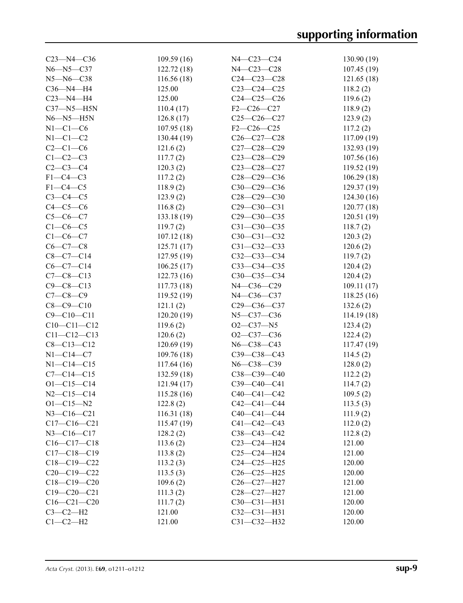| $C23 - N4 - C36$                    | 109.59(16)  | N4-C23-C24                      | 130.90(19)           |
|-------------------------------------|-------------|---------------------------------|----------------------|
| $N6 - N5 - C37$                     | 122.72(18)  | N4-C23-C28                      | 107.45(19)           |
| $N5 - N6 - C38$                     | 116.56(18)  | $C24 - C23 - C28$               | 121.65(18)           |
| $C36 - N4 - H4$                     | 125.00      | $C23-C24-C25$                   | 118.2(2)             |
| $C23 - N4 - H4$                     | 125.00      | $C24-C25-C26$                   | 119.6(2)             |
| $C37 - N5 - H5N$                    | 110.4(17)   | $F2-C26-C27$                    | 118.9(2)             |
| $N6 - N5 - H5N$                     | 126.8(17)   | $C25-C26-C27$                   | 123.9(2)             |
| $N1-C1-C6$                          | 107.95(18)  | $F2-C26-C25$                    | 117.2(2)             |
| $N1-C1-C2$                          | 130.44 (19) | $C26 - C27 - C28$               | 117.09(19)           |
| $C2-C1-C6$                          | 121.6(2)    | $C27-C28-C29$                   | 132.93(19)           |
| $C1-C2-C3$                          | 117.7(2)    | $C23-C28-C29$                   | 107.56(16)           |
| $C2-C3-C4$                          | 120.3(2)    | $C23-C28-C27$                   | 119.52(19)           |
| $F1-C4-C3$                          | 117.2(2)    | C28-C29-C36                     | 106.29(18)           |
| $F1-C4-C5$                          | 118.9(2)    | C30-C29-C36                     | 129.37(19)           |
| $C3-C4-C5$                          | 123.9(2)    | $C28 - C29 - C30$               | 124.30(16)           |
| $C4-C5-C6$                          | 116.8(2)    | $C29 - C30 - C31$               | 120.77(18)           |
| $C5 - C6 - C7$                      | 133.18 (19) | $C29 - C30 - C35$               | 120.51(19)           |
| $C1-C6-C5$                          | 119.7(2)    | $C31 - C30 - C35$               | 118.7(2)             |
| $C1-C6-C7$                          | 107.12(18)  | C30-C31-C32                     | 120.3(2)             |
| $C6 - C7 - C8$                      | 125.71(17)  | $C31 - C32 - C33$               | 120.6(2)             |
| $C8-C7-C14$                         | 127.95(19)  | $C32-C33-C34$                   | 119.7(2)             |
| $C6-C7-C14$                         | 106.25(17)  | $C33-C34-C35$                   | 120.4(2)             |
| $C7 - C8 - C13$                     | 122.73(16)  | $C30-C35-C34$                   | 120.4(2)             |
| $C9 - C8 - C13$                     | 117.73(18)  | N4-C36-C29                      | 109.11(17)           |
| $C7 - C8 - C9$                      | 119.52(19)  | N4-C36-C37                      | 118.25(16)           |
| $C8 - C9 - C10$                     | 121.1(2)    | C29-C36-C37                     | 132.6(2)             |
| $C9 - C10 - C11$                    | 120.20(19)  | N5-C37-C36                      | 114.19(18)           |
| $C10-C11-C12$                       | 119.6(2)    | $O2-C37-N5$                     | 123.4(2)             |
| $C11 - C12 - C13$                   | 120.6(2)    | $O2-C37-C36$                    | 122.4(2)             |
| $C8 - C13 - C12$                    | 120.69(19)  | $N6 - C38 - C43$                |                      |
| $N1 - C14 - C7$                     | 109.76 (18) |                                 | 117.47(19)           |
| $N1 - C14 - C15$                    |             | $C39 - C38 - C43$<br>N6-C38-C39 | 114.5(2)             |
| $C7 - C14 - C15$                    | 117.64(16)  | $C38-C39-C40$                   | 128.0(2)<br>112.2(2) |
|                                     | 132.59(18)  | C39-C40-C41                     | 114.7(2)             |
| $O1 - C15 - C14$                    | 121.94 (17) | $C40 - C41 - C42$               |                      |
| $N2 - C15 - C14$<br>$O1 - C15 - N2$ | 115.28(16)  |                                 | 109.5(2)             |
|                                     | 122.8(2)    | $C42 - C41 - C44$               | 113.5(3)             |
| $N3 - C16 - C21$                    | 116.31(18)  | $C40-C41-C44$                   | 111.9(2)             |
| $C17 - C16 - C21$                   | 115.47(19)  | $C41 - C42 - C43$               | 112.0(2)             |
| $N3 - C16 - C17$                    | 128.2(2)    | $C38 - C43 - C42$               | 112.8(2)             |
| $C16-C17-C18$                       | 113.6(2)    | $C23-C24-H24$                   | 121.00               |
| $C17 - C18 - C19$                   | 113.8(2)    | $C25-C24-H24$                   | 121.00               |
| $C18-C19-C22$                       | 113.2(3)    | $C24-C25-H25$                   | 120.00               |
| $C20-C19-C22$                       | 113.5(3)    | $C26-C25-H25$                   | 120.00               |
| $C18-C19-C20$                       | 109.6(2)    | $C26-C27-H27$                   | 121.00               |
| $C19 - C20 - C21$                   | 111.3(2)    | C28-C27-H27                     | 121.00               |
| $C16 - C21 - C20$                   | 111.7(2)    | C30-C31-H31                     | 120.00               |
| $C3-C2-H2$                          | 121.00      | $C32-C31-H31$                   | 120.00               |
| $C1-C2-H2$                          | 121.00      | $C31 - C32 - H32$               | 120.00               |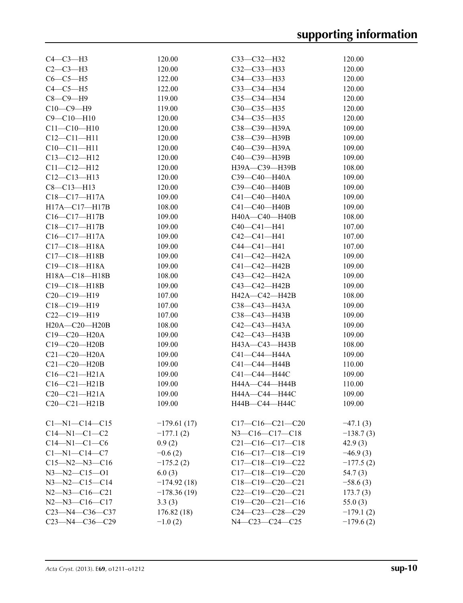|               | $C33-C32-H32$                                                                                                                                                                                                                                                                                                                                                        | 120.00                                                                                                                                                                                                                                                                                                                                                                                                                                                                                                                                                                                                                                           |
|---------------|----------------------------------------------------------------------------------------------------------------------------------------------------------------------------------------------------------------------------------------------------------------------------------------------------------------------------------------------------------------------|--------------------------------------------------------------------------------------------------------------------------------------------------------------------------------------------------------------------------------------------------------------------------------------------------------------------------------------------------------------------------------------------------------------------------------------------------------------------------------------------------------------------------------------------------------------------------------------------------------------------------------------------------|
|               |                                                                                                                                                                                                                                                                                                                                                                      | 120.00                                                                                                                                                                                                                                                                                                                                                                                                                                                                                                                                                                                                                                           |
|               |                                                                                                                                                                                                                                                                                                                                                                      | 120.00                                                                                                                                                                                                                                                                                                                                                                                                                                                                                                                                                                                                                                           |
|               |                                                                                                                                                                                                                                                                                                                                                                      | 120.00                                                                                                                                                                                                                                                                                                                                                                                                                                                                                                                                                                                                                                           |
|               |                                                                                                                                                                                                                                                                                                                                                                      | 120.00                                                                                                                                                                                                                                                                                                                                                                                                                                                                                                                                                                                                                                           |
|               |                                                                                                                                                                                                                                                                                                                                                                      | 120.00                                                                                                                                                                                                                                                                                                                                                                                                                                                                                                                                                                                                                                           |
|               |                                                                                                                                                                                                                                                                                                                                                                      | 120.00                                                                                                                                                                                                                                                                                                                                                                                                                                                                                                                                                                                                                                           |
|               |                                                                                                                                                                                                                                                                                                                                                                      | 109.00                                                                                                                                                                                                                                                                                                                                                                                                                                                                                                                                                                                                                                           |
|               |                                                                                                                                                                                                                                                                                                                                                                      | 109.00                                                                                                                                                                                                                                                                                                                                                                                                                                                                                                                                                                                                                                           |
|               |                                                                                                                                                                                                                                                                                                                                                                      | 109.00                                                                                                                                                                                                                                                                                                                                                                                                                                                                                                                                                                                                                                           |
|               |                                                                                                                                                                                                                                                                                                                                                                      | 109.00                                                                                                                                                                                                                                                                                                                                                                                                                                                                                                                                                                                                                                           |
|               |                                                                                                                                                                                                                                                                                                                                                                      | 108.00                                                                                                                                                                                                                                                                                                                                                                                                                                                                                                                                                                                                                                           |
|               |                                                                                                                                                                                                                                                                                                                                                                      | 109.00                                                                                                                                                                                                                                                                                                                                                                                                                                                                                                                                                                                                                                           |
|               |                                                                                                                                                                                                                                                                                                                                                                      | 109.00                                                                                                                                                                                                                                                                                                                                                                                                                                                                                                                                                                                                                                           |
|               |                                                                                                                                                                                                                                                                                                                                                                      | 109.00                                                                                                                                                                                                                                                                                                                                                                                                                                                                                                                                                                                                                                           |
|               |                                                                                                                                                                                                                                                                                                                                                                      | 109.00                                                                                                                                                                                                                                                                                                                                                                                                                                                                                                                                                                                                                                           |
|               |                                                                                                                                                                                                                                                                                                                                                                      | 108.00                                                                                                                                                                                                                                                                                                                                                                                                                                                                                                                                                                                                                                           |
|               |                                                                                                                                                                                                                                                                                                                                                                      | 107.00                                                                                                                                                                                                                                                                                                                                                                                                                                                                                                                                                                                                                                           |
|               |                                                                                                                                                                                                                                                                                                                                                                      | 107.00                                                                                                                                                                                                                                                                                                                                                                                                                                                                                                                                                                                                                                           |
|               |                                                                                                                                                                                                                                                                                                                                                                      | 107.00                                                                                                                                                                                                                                                                                                                                                                                                                                                                                                                                                                                                                                           |
|               |                                                                                                                                                                                                                                                                                                                                                                      | 109.00                                                                                                                                                                                                                                                                                                                                                                                                                                                                                                                                                                                                                                           |
|               |                                                                                                                                                                                                                                                                                                                                                                      | 109.00                                                                                                                                                                                                                                                                                                                                                                                                                                                                                                                                                                                                                                           |
|               |                                                                                                                                                                                                                                                                                                                                                                      |                                                                                                                                                                                                                                                                                                                                                                                                                                                                                                                                                                                                                                                  |
|               |                                                                                                                                                                                                                                                                                                                                                                      | 109.00<br>109.00                                                                                                                                                                                                                                                                                                                                                                                                                                                                                                                                                                                                                                 |
|               |                                                                                                                                                                                                                                                                                                                                                                      |                                                                                                                                                                                                                                                                                                                                                                                                                                                                                                                                                                                                                                                  |
|               |                                                                                                                                                                                                                                                                                                                                                                      | 108.00                                                                                                                                                                                                                                                                                                                                                                                                                                                                                                                                                                                                                                           |
|               |                                                                                                                                                                                                                                                                                                                                                                      | 109.00                                                                                                                                                                                                                                                                                                                                                                                                                                                                                                                                                                                                                                           |
|               |                                                                                                                                                                                                                                                                                                                                                                      | 109.00                                                                                                                                                                                                                                                                                                                                                                                                                                                                                                                                                                                                                                           |
|               |                                                                                                                                                                                                                                                                                                                                                                      | 109.00                                                                                                                                                                                                                                                                                                                                                                                                                                                                                                                                                                                                                                           |
|               |                                                                                                                                                                                                                                                                                                                                                                      | 109.00                                                                                                                                                                                                                                                                                                                                                                                                                                                                                                                                                                                                                                           |
|               |                                                                                                                                                                                                                                                                                                                                                                      | 108.00                                                                                                                                                                                                                                                                                                                                                                                                                                                                                                                                                                                                                                           |
|               |                                                                                                                                                                                                                                                                                                                                                                      | 109.00                                                                                                                                                                                                                                                                                                                                                                                                                                                                                                                                                                                                                                           |
|               |                                                                                                                                                                                                                                                                                                                                                                      | 110.00                                                                                                                                                                                                                                                                                                                                                                                                                                                                                                                                                                                                                                           |
|               |                                                                                                                                                                                                                                                                                                                                                                      | 109.00                                                                                                                                                                                                                                                                                                                                                                                                                                                                                                                                                                                                                                           |
|               |                                                                                                                                                                                                                                                                                                                                                                      | 110.00                                                                                                                                                                                                                                                                                                                                                                                                                                                                                                                                                                                                                                           |
|               |                                                                                                                                                                                                                                                                                                                                                                      | 109.00                                                                                                                                                                                                                                                                                                                                                                                                                                                                                                                                                                                                                                           |
|               |                                                                                                                                                                                                                                                                                                                                                                      | 109.00                                                                                                                                                                                                                                                                                                                                                                                                                                                                                                                                                                                                                                           |
| $-179.61(17)$ | $C17-C16-C21-C20$                                                                                                                                                                                                                                                                                                                                                    | $-47.1(3)$                                                                                                                                                                                                                                                                                                                                                                                                                                                                                                                                                                                                                                       |
| $-177.1(2)$   | N3-C16-C17-C18                                                                                                                                                                                                                                                                                                                                                       | $-138.7(3)$                                                                                                                                                                                                                                                                                                                                                                                                                                                                                                                                                                                                                                      |
| 0.9(2)        | $C21-C16-C17-C18$                                                                                                                                                                                                                                                                                                                                                    | 42.9(3)                                                                                                                                                                                                                                                                                                                                                                                                                                                                                                                                                                                                                                          |
| $-0.6(2)$     | $C16-C17-C18-C19$                                                                                                                                                                                                                                                                                                                                                    | $-46.9(3)$                                                                                                                                                                                                                                                                                                                                                                                                                                                                                                                                                                                                                                       |
| $-175.2(2)$   | $C17-C18-C19-C22$                                                                                                                                                                                                                                                                                                                                                    | $-177.5(2)$                                                                                                                                                                                                                                                                                                                                                                                                                                                                                                                                                                                                                                      |
| 6.0(3)        | $C17-C18-C19-C20$                                                                                                                                                                                                                                                                                                                                                    | 54.7(3)                                                                                                                                                                                                                                                                                                                                                                                                                                                                                                                                                                                                                                          |
| $-174.92(18)$ | $C18-C19-C20-C21$                                                                                                                                                                                                                                                                                                                                                    | $-58.6(3)$                                                                                                                                                                                                                                                                                                                                                                                                                                                                                                                                                                                                                                       |
| $-178.36(19)$ | $C22-C19-C20-C21$                                                                                                                                                                                                                                                                                                                                                    | 173.7(3)                                                                                                                                                                                                                                                                                                                                                                                                                                                                                                                                                                                                                                         |
| 3.3(3)        | $C19-C20-C21-C16$                                                                                                                                                                                                                                                                                                                                                    | 55.0(3)                                                                                                                                                                                                                                                                                                                                                                                                                                                                                                                                                                                                                                          |
| 176.82(18)    | $C24-C23-C28-C29$                                                                                                                                                                                                                                                                                                                                                    | $-179.1(2)$                                                                                                                                                                                                                                                                                                                                                                                                                                                                                                                                                                                                                                      |
| $-1.0(2)$     | N4-C23-C24-C25                                                                                                                                                                                                                                                                                                                                                       | $-179.6(2)$                                                                                                                                                                                                                                                                                                                                                                                                                                                                                                                                                                                                                                      |
|               | 120.00<br>120.00<br>122.00<br>122.00<br>119.00<br>119.00<br>120.00<br>120.00<br>120.00<br>120.00<br>120.00<br>120.00<br>120.00<br>120.00<br>109.00<br>108.00<br>109.00<br>109.00<br>109.00<br>109.00<br>109.00<br>109.00<br>108.00<br>109.00<br>107.00<br>107.00<br>107.00<br>108.00<br>109.00<br>109.00<br>109.00<br>109.00<br>109.00<br>109.00<br>109.00<br>109.00 | $C32-C33-H33$<br>C34-C33-H33<br>C33-C34-H34<br>C35-C34-H34<br>$C30-C35-H35$<br>C34-C35-H35<br>C38-C39-H39A<br>C38-C39-H39B<br>C40-C39-H39A<br>C40-C39-H39B<br>H39A-C39-H39B<br>C39-C40-H40A<br>C39-C40-H40B<br>$C41 - C40 - H40A$<br>C41-C40-H40B<br>H40A-C40-H40B<br>$C40 - C41 - H41$<br>$C42 - C41 - H41$<br>$C44 - C41 - H41$<br>$C41 - C42 - H42A$<br>$C41 - C42 - H42B$<br>$C43 - C42 - H42A$<br>$C43 - C42 - H42B$<br>H42A-C42-H42B<br>C38-C43-H43A<br>C38-C43-H43B<br>$C42 - C43 - H43A$<br>$C42 - C43 - H43B$<br>H43A-C43-H43B<br>C41-C44-H44A<br>$C41 - C44 - H44B$<br>C41-C44-H44C<br>H44A-C44-H44B<br>H44A-C44-H44C<br>H44B-C44-H44C |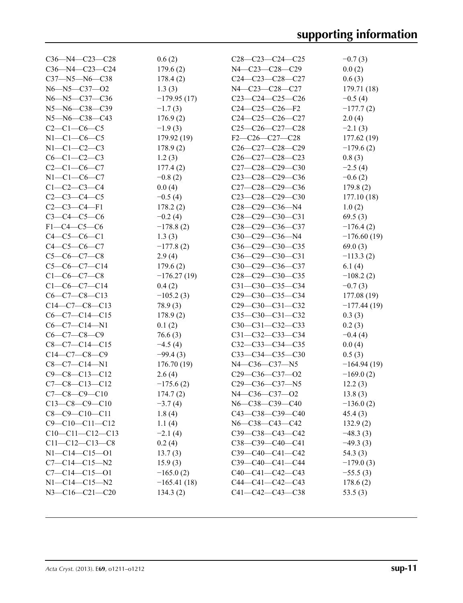| C36-N4-C23-C24<br>179.6(2)<br>0.0(2)<br>N4-C23-C28-C29<br>C37-N5-N6-C38<br>178.4(2)<br>$C24-C23-C28-C27$<br>0.6(3)<br>N6-N5-C37-O2<br>1.3(3)<br>N4-C23-C28-C27<br>179.71 (18)<br>N6-N5-C37-C36<br>$-179.95(17)$<br>$C23-C24-C25-C26$<br>$-0.5(4)$<br>N5-N6-C38-C39<br>$-1.7(3)$<br>$C24-C25-C26-F2$<br>$-177.7(2)$<br>N5-N6-C38-C43<br>$C24-C25-C26-C27$<br>176.9(2)<br>2.0(4)<br>$C2 - C1 - C6 - C5$<br>$-1.9(3)$<br>$C25-C26-C27-C28$<br>$-2.1(3)$<br>$N1 - C1 - C6 - C5$<br>179.92 (19)<br>$F2-C26-C27-C28$<br>177.62 (19)<br>$N1-C1-C2-C3$<br>178.9(2)<br>$C26-C27-C28-C29$<br>$-179.6(2)$<br>$C6 - C1 - C2 - C3$<br>1.2(3)<br>$C26-C27-C28-C23$<br>0.8(3)<br>$C2 - C1 - C6 - C7$<br>177.4(2)<br>$C27-C28-C29-C30$<br>$-2.5(4)$<br>$N1 - C1 - C6 - C7$<br>$-0.8(2)$<br>$C23-C28-C29-C36$<br>$-0.6(2)$<br>$C1-C2-C3-C4$<br>0.0(4)<br>C27-C28-C29-C36<br>179.8(2)<br>$C2 - C3 - C4 - C5$<br>$-0.5(4)$<br>$C23-C28-C29-C30$<br>177.10(18)<br>$C2-C3-C4-F1$<br>178.2(2)<br>$C28-C29-C36-N4$<br>1.0(2)<br>$C3 - C4 - C5 - C6$<br>$-0.2(4)$<br>$C28-C29-C30-C31$<br>69.5(3)<br>$F1-C4-C5-C6$<br>$-178.8(2)$<br>$C28-C29-C36-C37$<br>$-176.4(2)$<br>$C4 - C5 - C6 - C1$<br>C30-C29-C36-N4<br>$-176.60(19)$<br>1.3(3)<br>$C4 - C5 - C6 - C7$<br>$-177.8(2)$<br>$C36-C29-C30-C35$<br>69.0(3)<br>$C5-C6-C7-C8$<br>2.9(4)<br>$C36-C29-C30-C31$<br>$-113.3(2)$<br>6.1(4)<br>$C5-C6-C7-C14$<br>179.6(2)<br>C30-C29-C36-C37<br>$C1-C6-C7-C8$<br>$-176.27(19)$<br>$C28-C29-C30-C35$<br>$-108.2(2)$<br>$C1-C6-C7-C14$<br>0.4(2)<br>C31-C30-C35-C34<br>$-0.7(3)$ |
|-----------------------------------------------------------------------------------------------------------------------------------------------------------------------------------------------------------------------------------------------------------------------------------------------------------------------------------------------------------------------------------------------------------------------------------------------------------------------------------------------------------------------------------------------------------------------------------------------------------------------------------------------------------------------------------------------------------------------------------------------------------------------------------------------------------------------------------------------------------------------------------------------------------------------------------------------------------------------------------------------------------------------------------------------------------------------------------------------------------------------------------------------------------------------------------------------------------------------------------------------------------------------------------------------------------------------------------------------------------------------------------------------------------------------------------------------------------------------------------------------------------------------------------------------------|
|                                                                                                                                                                                                                                                                                                                                                                                                                                                                                                                                                                                                                                                                                                                                                                                                                                                                                                                                                                                                                                                                                                                                                                                                                                                                                                                                                                                                                                                                                                                                                     |
|                                                                                                                                                                                                                                                                                                                                                                                                                                                                                                                                                                                                                                                                                                                                                                                                                                                                                                                                                                                                                                                                                                                                                                                                                                                                                                                                                                                                                                                                                                                                                     |
|                                                                                                                                                                                                                                                                                                                                                                                                                                                                                                                                                                                                                                                                                                                                                                                                                                                                                                                                                                                                                                                                                                                                                                                                                                                                                                                                                                                                                                                                                                                                                     |
|                                                                                                                                                                                                                                                                                                                                                                                                                                                                                                                                                                                                                                                                                                                                                                                                                                                                                                                                                                                                                                                                                                                                                                                                                                                                                                                                                                                                                                                                                                                                                     |
|                                                                                                                                                                                                                                                                                                                                                                                                                                                                                                                                                                                                                                                                                                                                                                                                                                                                                                                                                                                                                                                                                                                                                                                                                                                                                                                                                                                                                                                                                                                                                     |
|                                                                                                                                                                                                                                                                                                                                                                                                                                                                                                                                                                                                                                                                                                                                                                                                                                                                                                                                                                                                                                                                                                                                                                                                                                                                                                                                                                                                                                                                                                                                                     |
|                                                                                                                                                                                                                                                                                                                                                                                                                                                                                                                                                                                                                                                                                                                                                                                                                                                                                                                                                                                                                                                                                                                                                                                                                                                                                                                                                                                                                                                                                                                                                     |
|                                                                                                                                                                                                                                                                                                                                                                                                                                                                                                                                                                                                                                                                                                                                                                                                                                                                                                                                                                                                                                                                                                                                                                                                                                                                                                                                                                                                                                                                                                                                                     |
|                                                                                                                                                                                                                                                                                                                                                                                                                                                                                                                                                                                                                                                                                                                                                                                                                                                                                                                                                                                                                                                                                                                                                                                                                                                                                                                                                                                                                                                                                                                                                     |
|                                                                                                                                                                                                                                                                                                                                                                                                                                                                                                                                                                                                                                                                                                                                                                                                                                                                                                                                                                                                                                                                                                                                                                                                                                                                                                                                                                                                                                                                                                                                                     |
|                                                                                                                                                                                                                                                                                                                                                                                                                                                                                                                                                                                                                                                                                                                                                                                                                                                                                                                                                                                                                                                                                                                                                                                                                                                                                                                                                                                                                                                                                                                                                     |
|                                                                                                                                                                                                                                                                                                                                                                                                                                                                                                                                                                                                                                                                                                                                                                                                                                                                                                                                                                                                                                                                                                                                                                                                                                                                                                                                                                                                                                                                                                                                                     |
|                                                                                                                                                                                                                                                                                                                                                                                                                                                                                                                                                                                                                                                                                                                                                                                                                                                                                                                                                                                                                                                                                                                                                                                                                                                                                                                                                                                                                                                                                                                                                     |
|                                                                                                                                                                                                                                                                                                                                                                                                                                                                                                                                                                                                                                                                                                                                                                                                                                                                                                                                                                                                                                                                                                                                                                                                                                                                                                                                                                                                                                                                                                                                                     |
|                                                                                                                                                                                                                                                                                                                                                                                                                                                                                                                                                                                                                                                                                                                                                                                                                                                                                                                                                                                                                                                                                                                                                                                                                                                                                                                                                                                                                                                                                                                                                     |
|                                                                                                                                                                                                                                                                                                                                                                                                                                                                                                                                                                                                                                                                                                                                                                                                                                                                                                                                                                                                                                                                                                                                                                                                                                                                                                                                                                                                                                                                                                                                                     |
|                                                                                                                                                                                                                                                                                                                                                                                                                                                                                                                                                                                                                                                                                                                                                                                                                                                                                                                                                                                                                                                                                                                                                                                                                                                                                                                                                                                                                                                                                                                                                     |
|                                                                                                                                                                                                                                                                                                                                                                                                                                                                                                                                                                                                                                                                                                                                                                                                                                                                                                                                                                                                                                                                                                                                                                                                                                                                                                                                                                                                                                                                                                                                                     |
|                                                                                                                                                                                                                                                                                                                                                                                                                                                                                                                                                                                                                                                                                                                                                                                                                                                                                                                                                                                                                                                                                                                                                                                                                                                                                                                                                                                                                                                                                                                                                     |
|                                                                                                                                                                                                                                                                                                                                                                                                                                                                                                                                                                                                                                                                                                                                                                                                                                                                                                                                                                                                                                                                                                                                                                                                                                                                                                                                                                                                                                                                                                                                                     |
|                                                                                                                                                                                                                                                                                                                                                                                                                                                                                                                                                                                                                                                                                                                                                                                                                                                                                                                                                                                                                                                                                                                                                                                                                                                                                                                                                                                                                                                                                                                                                     |
|                                                                                                                                                                                                                                                                                                                                                                                                                                                                                                                                                                                                                                                                                                                                                                                                                                                                                                                                                                                                                                                                                                                                                                                                                                                                                                                                                                                                                                                                                                                                                     |
|                                                                                                                                                                                                                                                                                                                                                                                                                                                                                                                                                                                                                                                                                                                                                                                                                                                                                                                                                                                                                                                                                                                                                                                                                                                                                                                                                                                                                                                                                                                                                     |
| $C6 - C7 - C8 - C13$<br>$-105.2(3)$<br>C <sub>29</sub> -C <sub>30</sub> -C <sub>35</sub> -C <sub>34</sub><br>177.08 (19)                                                                                                                                                                                                                                                                                                                                                                                                                                                                                                                                                                                                                                                                                                                                                                                                                                                                                                                                                                                                                                                                                                                                                                                                                                                                                                                                                                                                                            |
| $C14-C7-C8-C13$<br>78.9(3)<br>$C29-C30-C31-C32$<br>$-177.44(19)$                                                                                                                                                                                                                                                                                                                                                                                                                                                                                                                                                                                                                                                                                                                                                                                                                                                                                                                                                                                                                                                                                                                                                                                                                                                                                                                                                                                                                                                                                    |
| $C6-C7-C14-C15$<br>178.9(2)<br>$C35-C30-C31-C32$<br>0.3(3)                                                                                                                                                                                                                                                                                                                                                                                                                                                                                                                                                                                                                                                                                                                                                                                                                                                                                                                                                                                                                                                                                                                                                                                                                                                                                                                                                                                                                                                                                          |
| $C6-C7-C14-N1$<br>0.1(2)<br>$C30-C31-C32-C33$<br>0.2(3)                                                                                                                                                                                                                                                                                                                                                                                                                                                                                                                                                                                                                                                                                                                                                                                                                                                                                                                                                                                                                                                                                                                                                                                                                                                                                                                                                                                                                                                                                             |
| $C6-C7-C8-C9$<br>76.6(3)<br>C31-C32-C33-C34<br>$-0.4(4)$                                                                                                                                                                                                                                                                                                                                                                                                                                                                                                                                                                                                                                                                                                                                                                                                                                                                                                                                                                                                                                                                                                                                                                                                                                                                                                                                                                                                                                                                                            |
| $C8-C7-C14-C15$<br>$-4.5(4)$<br>$C32-C33-C34-C35$<br>0.0(4)                                                                                                                                                                                                                                                                                                                                                                                                                                                                                                                                                                                                                                                                                                                                                                                                                                                                                                                                                                                                                                                                                                                                                                                                                                                                                                                                                                                                                                                                                         |
| $C14-C7-C8-C9$<br>$-99.4(3)$<br>$C33-C34-C35-C30$<br>0.5(3)                                                                                                                                                                                                                                                                                                                                                                                                                                                                                                                                                                                                                                                                                                                                                                                                                                                                                                                                                                                                                                                                                                                                                                                                                                                                                                                                                                                                                                                                                         |
| N4-C36-C37-N5<br>$C8-C7-C14-N1$<br>176.70(19)<br>$-164.94(19)$                                                                                                                                                                                                                                                                                                                                                                                                                                                                                                                                                                                                                                                                                                                                                                                                                                                                                                                                                                                                                                                                                                                                                                                                                                                                                                                                                                                                                                                                                      |
| $C9 - C8 - C13 - C12$<br>2.6(4)<br>$C29-C36-C37-C2$<br>$-169.0(2)$                                                                                                                                                                                                                                                                                                                                                                                                                                                                                                                                                                                                                                                                                                                                                                                                                                                                                                                                                                                                                                                                                                                                                                                                                                                                                                                                                                                                                                                                                  |
| $C7-C8-C13-C12$<br>$-175.6(2)$<br>$C29-C36-C37-N5$<br>12.2(3)                                                                                                                                                                                                                                                                                                                                                                                                                                                                                                                                                                                                                                                                                                                                                                                                                                                                                                                                                                                                                                                                                                                                                                                                                                                                                                                                                                                                                                                                                       |
| $C7-C8-C9-C10$<br>174.7(2)<br>N4-C36-C37-O2<br>13.8(3)                                                                                                                                                                                                                                                                                                                                                                                                                                                                                                                                                                                                                                                                                                                                                                                                                                                                                                                                                                                                                                                                                                                                                                                                                                                                                                                                                                                                                                                                                              |
| $C13-C8-C9-C10$<br>$-3.7(4)$<br>N6-C38-C39-C40<br>$-136.0(2)$                                                                                                                                                                                                                                                                                                                                                                                                                                                                                                                                                                                                                                                                                                                                                                                                                                                                                                                                                                                                                                                                                                                                                                                                                                                                                                                                                                                                                                                                                       |
| $C8-C9-C10-C11$<br>C43-C38-C39-C40<br>1.8(4)<br>45.4(3)                                                                                                                                                                                                                                                                                                                                                                                                                                                                                                                                                                                                                                                                                                                                                                                                                                                                                                                                                                                                                                                                                                                                                                                                                                                                                                                                                                                                                                                                                             |
| $C9 - C10 - C11 - C12$<br>1.1(4)<br>N6-C38-C43-C42<br>132.9(2)                                                                                                                                                                                                                                                                                                                                                                                                                                                                                                                                                                                                                                                                                                                                                                                                                                                                                                                                                                                                                                                                                                                                                                                                                                                                                                                                                                                                                                                                                      |
| $C10-C11-C12-C13$<br>$C39 - C38 - C43 - C42$<br>$-48.3(3)$<br>$-2.1(4)$                                                                                                                                                                                                                                                                                                                                                                                                                                                                                                                                                                                                                                                                                                                                                                                                                                                                                                                                                                                                                                                                                                                                                                                                                                                                                                                                                                                                                                                                             |
| $C11 - C12 - C13 - C8$<br>0.2(4)<br>$C38-C39-C40-C41$<br>$-49.3(3)$                                                                                                                                                                                                                                                                                                                                                                                                                                                                                                                                                                                                                                                                                                                                                                                                                                                                                                                                                                                                                                                                                                                                                                                                                                                                                                                                                                                                                                                                                 |
| $N1 - C14 - C15 - 01$<br>$C39-C40-C41-C42$<br>54.3(3)<br>13.7(3)                                                                                                                                                                                                                                                                                                                                                                                                                                                                                                                                                                                                                                                                                                                                                                                                                                                                                                                                                                                                                                                                                                                                                                                                                                                                                                                                                                                                                                                                                    |
| $C7 - C14 - C15 - N2$<br>15.9(3)<br>$C39-C40-C41-C44$<br>$-179.0(3)$                                                                                                                                                                                                                                                                                                                                                                                                                                                                                                                                                                                                                                                                                                                                                                                                                                                                                                                                                                                                                                                                                                                                                                                                                                                                                                                                                                                                                                                                                |
| $C7 - C14 - C15 - 01$<br>$C40-C41-C42-C43$<br>$-165.0(2)$<br>$-55.5(3)$                                                                                                                                                                                                                                                                                                                                                                                                                                                                                                                                                                                                                                                                                                                                                                                                                                                                                                                                                                                                                                                                                                                                                                                                                                                                                                                                                                                                                                                                             |
| $N1 - C14 - C15 - N2$<br>$C44-C41-C42-C43$<br>$-165.41(18)$<br>178.6(2)                                                                                                                                                                                                                                                                                                                                                                                                                                                                                                                                                                                                                                                                                                                                                                                                                                                                                                                                                                                                                                                                                                                                                                                                                                                                                                                                                                                                                                                                             |
| N3-C16-C21-C20<br>C41-C42-C43-C38<br>134.3(2)<br>53.5(3)                                                                                                                                                                                                                                                                                                                                                                                                                                                                                                                                                                                                                                                                                                                                                                                                                                                                                                                                                                                                                                                                                                                                                                                                                                                                                                                                                                                                                                                                                            |